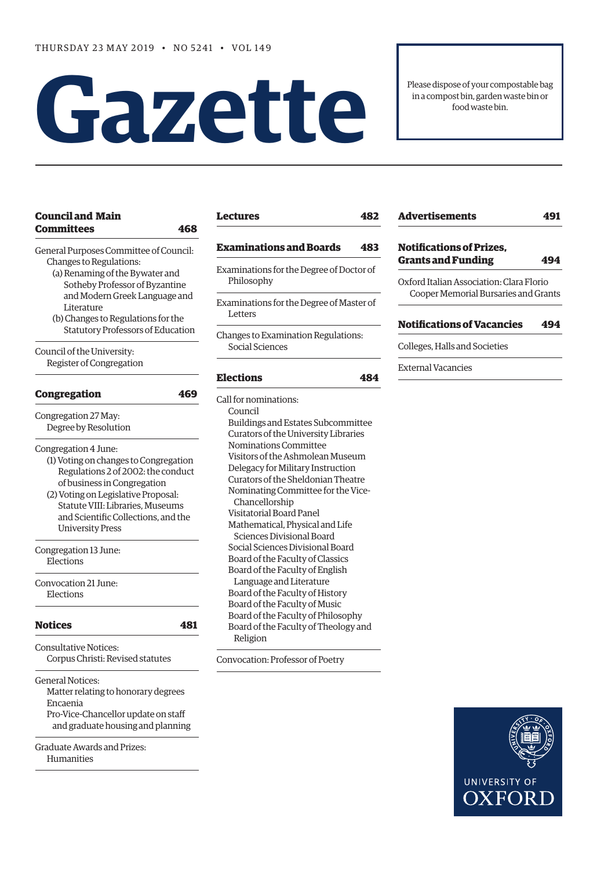# **Gazette**

Please dispose of your compostable bag in a compost bin, garden waste bin or food waste bin.

# **[Council and Main](#page-1-0)  [Committees 468](#page-1-0)**

[General Purposes Committee of Council:](#page-1-0) [Changes to Regulations](#page-1-0):

- [\(a\) Renaming of the Bywater and](#page-1-0)   [Sotheby Professor of Byzantine](#page-1-0)   [and Modern Greek Language and](#page-1-0)   [Literature](#page-1-0)
- [\(b\) Changes to Regulations for the](#page-1-0)   [Statutory Professors of Education](#page-1-0)

[Council of the University:](#page-2-0) [Register of Congregation](#page-2-0)

| <b>Congregation</b>                   | 469 |
|---------------------------------------|-----|
| Congregation 27 May:                  |     |
| Degree by Resolution                  |     |
| Congregation 4 June:                  |     |
| (1) Voting on changes to Congregation |     |
| Regulations 2 of 2002: the conduct    |     |
| of business in Congregation           |     |
| (2) Voting on Legislative Proposal:   |     |
| Statute VIII: Libraries, Museums      |     |
| and Scientific Collections, and the   |     |
| <b>University Press</b>               |     |
| Congregation 13 June:                 |     |
| Elections                             |     |
| Convocation 21 June:                  |     |
| Elections                             |     |
| <b>Notices</b>                        | 48  |
| Consultative Notices:                 |     |
| Corpus Christi: Revised statutes      |     |
| <b>General Notices:</b>               |     |

Matter relating to honorary degrees [Encaenia](#page-14-0) [Pro-Vice-Chancellor update on staff](#page-14-0)   [and graduate housing and planning](#page-14-0)

Graduate Awards and Prizes: Humanities

# **[Lectures 482](#page-15-0)**

# **[Examinations and Boards 483](#page-16-0)**

- [Examinations for the Degree of Doctor of](#page-16-0)  [Philosophy](#page-16-0)
- Examinations for the Degree of Master of Letters
- [Changes to Examination Regulations:](#page-16-0) [Social Sciences](#page-16-0)

# **[Elections 484](#page-17-0)**

[Call for nominations](#page-17-0): Council Buildings and Estates Subcommittee Curators of the University Libraries Nominations Committee Visitors of the Ashmolean Museum Delegacy for Military Instruction Curators of the Sheldonian Theatre Nominating Committee for the Vice- Chancellorship Visitatorial Board Panel Mathematical, Physical and Life Sciences Divisional Board Social Sciences Divisional Board Board of the Faculty of Classics Board of the Faculty of English Language and Literature Board of the Faculty of History Board of the Faculty of Music Board of the Faculty of Philosophy Board of the Faculty of Theology and Religion

[Convocation: Professor of Poetry](#page-18-0) 

| <b>Advertisements</b>                                                            | 491 |
|----------------------------------------------------------------------------------|-----|
| <b>Notifications of Prizes.</b><br><b>Grants and Funding</b>                     | 494 |
| Oxford Italian Association: Clara Florio<br>Cooper Memorial Bursaries and Grants |     |

# **[Notifications of Vacancies 494](#page-27-0)**

[Colleges, Halls and Societies](#page-27-0)

[External Vacancies](#page-27-0)

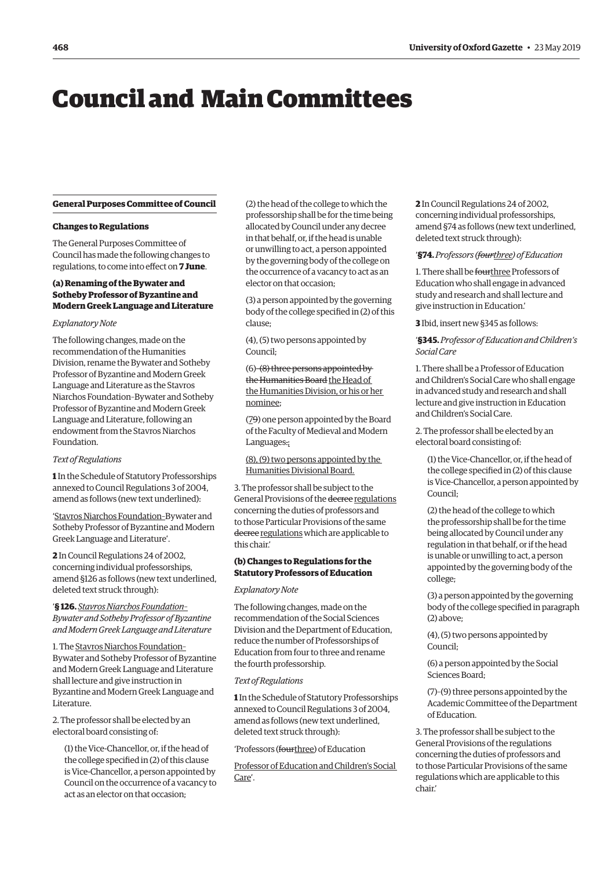# <span id="page-1-0"></span>Council and Main Committees

# **General Purposes Committee of Council**

# **Changes to Regulations**

The General Purposes Committee of Council has made the following changes to regulations, to come into effect on **7 June**.

# **(a) Renaming of the Bywater and Sotheby Professor of Byzantine and Modern Greek Language and Literature**

#### *Explanatory Note*

The following changes, made on the recommendation of the Humanities Division, rename the Bywater and Sotheby Professor of Byzantine and Modern Greek Language and Literature as the Stavros Niarchos Foundation–Bywater and Sotheby Professor of Byzantine and Modern Greek Language and Literature, following an endowment from the Stavros Niarchos Foundation.

## *Text of Regulations*

**1** In the Schedule of Statutory Professorships annexed to Council Regulations 3 of 2004, amend as follows (new text underlined):

'Stavros Niarchos Foundation–Bywater and Sotheby Professor of Byzantine and Modern Greek Language and Literature'.

**2** In Council Regulations 24 of 2002, concerning individual professorships, amend §126 as follows (new text underlined, deleted text struck through):

# '**§ 126.** *Stavros Niarchos Foundation– Bywater and Sotheby Professor of Byzantine and Modern Greek Language and Literature*

1. The Stavros Niarchos Foundation– Bywater and Sotheby Professor of Byzantine and Modern Greek Language and Literature shall lecture and give instruction in Byzantine and Modern Greek Language and Literature.

2. The professor shall be elected by an electoral board consisting of:

(1) the Vice-Chancellor, or, if the head of the college specified in (2) of this clause is Vice-Chancellor, a person appointed by Council on the occurrence of a vacancy to act as an elector on that occasion;

(2) the head of the college to which the professorship shall be for the time being allocated by Council under any decree in that behalf, or, if the head is unable or unwilling to act, a person appointed by the governing body of the college on the occurrence of a vacancy to act as an elector on that occasion;

(3) a person appointed by the governing body of the college specified in (2) of this clause;

(4), (5) two persons appointed by Council;

(6)–(8) three persons appointed by the Humanities Board the Head of the Humanities Division, or his or her nominee;

(79) one person appointed by the Board of the Faculty of Medieval and Modern Languages.;

(8), (9) two persons appointed by the Humanities Divisional Board.

3. The professor shall be subject to the General Provisions of the decree regulations concerning the duties of professors and to those Particular Provisions of the same decree regulations which are applicable to this chair.'

# **(b) Changes to Regulations for the Statutory Professors of Education**

#### *Explanatory Note*

The following changes, made on the recommendation of the Social Sciences Division and the Department of Education, reduce the number of Professorships of Education from four to three and rename the fourth professorship.

#### *Text of Regulations*

**1** In the Schedule of Statutory Professorships annexed to Council Regulations 3 of 2004, amend as follows (new text underlined, deleted text struck through):

'Professors (fourthree) of Education

Professor of Education and Children's Social Care'.

**2** In Council Regulations 24 of 2002, concerning individual professorships, amend §74 as follows (new text underlined, deleted text struck through):

# '**§74.** *Professors (fourthree) of Education*

1. There shall be fourthree Professors of Education who shall engage in advanced study and research and shall lecture and give instruction in Education.'

**3** Ibid, insert new §345 as follows:

#### '**§345.** *Professor of Education and Children's Social Care*

1. There shall be a Professor of Education and Children's Social Care who shall engage in advanced study and research and shall lecture and give instruction in Education and Children's Social Care.

2. The professor shall be elected by an electoral board consisting of:

(1) the Vice-Chancellor, or, if the head of the college specified in (2) of this clause is Vice-Chancellor, a person appointed by Council;

(2) the head of the college to which the professorship shall be for the time being allocated by Council under any regulation in that behalf, or if the head is unable or unwilling to act, a person appointed by the governing body of the college;

(3) a person appointed by the governing body of the college specified in paragraph (2) above;

(4), (5) two persons appointed by Council;

(6) a person appointed by the Social Sciences Board;

(7)–(9) three persons appointed by the Academic Committee of the Department of Education.

3. The professor shall be subject to the General Provisions of the regulations concerning the duties of professors and to those Particular Provisions of the same regulations which are applicable to this chair.'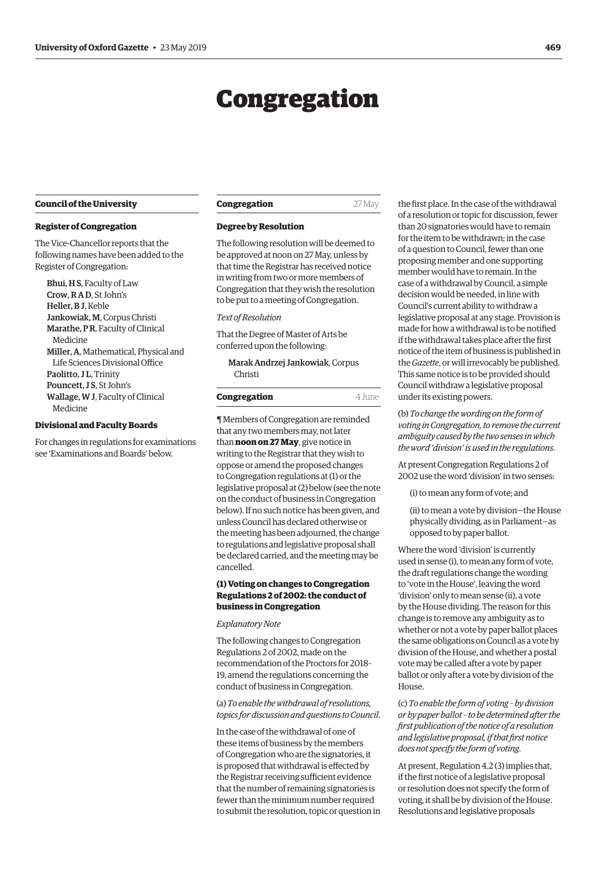# Congregation

#### <span id="page-2-0"></span>**Council of the University**

#### **Register of Congregation**

The Vice-Chancellor reports that the following names have been added to the Register of Congregation:

Bhui, H S, Faculty of Law Crow, R A D, St John's Heller, B J, Keble Jankowiak, M, Corpus Christi Marathe, P R, Faculty of Clinical Medicine Miller, A, Mathematical, Physical and Life Sciences Divisional Office Paolitto, JL, Trinity Pouncett, J S, St John's Wallage, W J, Faculty of Clinical Medicine

# **Divisional and Faculty Boards**

For changes in regulations for examinations see 'Examinations and Boards' below.

| Congregation | 27 May |
|--------------|--------|
|--------------|--------|

#### **Degree by Resolution**

The following resolution will be deemed to be approved at noon on 27 May, unless by that time the Registrar has received notice in writing from two or more members of Congregation that they wish the resolution to be put to a meeting of Congregation.

#### *Text of Resolution*

That the Degree of Master of Arts be conferred upon the following:

Marak Andrzej Jankowiak, Corpus Christi

|  | Congregation | 4 June |
|--|--------------|--------|
|--|--------------|--------|

¶ Members of Congregation are reminded that any two members may, not later than **noon on 27 May**, give notice in writing to the Registrar that they wish to oppose or amend the proposed changes to Congregation regulations at (1) or the legislative proposal at (2) below (see the note on the conduct of business in Congregation below). If no such notice has been given, and unless Council has declared otherwise or the meeting has been adjourned, the change to regulations and legislative proposal shall be declared carried, and the meeting may be cancelled.

# **(1) Voting on changes to Congregation Regulations 2 of 2002: the conduct of business in Congregation**

#### *Explanatory Note*

The following changes to Congregation Regulations 2 of 2002, made on the recommendation of the Proctors for 2018– 19, amend the regulations concerning the conduct of business in Congregation.

(a) *To enable the withdrawal of resolutions, topics for discussion and questions to Council*.

In the case of the withdrawal of one of these items of business by the members of Congregation who are the signatories, it is proposed that withdrawal is effected by the Registrar receiving sufficient evidence that the number of remaining signatories is fewer than the minimum number required to submit the resolution, topic or question in the first place. In the case of the withdrawal of a resolution or topic for discussion, fewer than 20 signatories would have to remain for the item to be withdrawn; in the case of a question to Council, fewer than one proposing member and one supporting member would have to remain. In the case of a withdrawal by Council, a simple decision would be needed, in line with Council's current ability to withdraw a legislative proposal at any stage. Provision is made for how a withdrawal is to be notified if the withdrawal takes place after the first notice of the item of business is published in the *Gazette*, or will irrevocably be published. This same notice is to be provided should Council withdraw a legislative proposal under its existing powers.

(b) *To change the wording on the form of voting in Congregation, to remove the current ambiguity caused by the two senses in which the word 'division' is used in the regulations*.

At present Congregation Regulations 2 of 2002 use the word 'division' in two senses:

(i) to mean any form of vote; and

(ii) to mean a vote by division—the House physically dividing, as in Parliament—as opposed to by paper ballot.

Where the word 'division' is currently used in sense (i), to mean any form of vote, the draft regulations change the wording to 'vote in the House', leaving the word 'division' only to mean sense (ii), a vote by the House dividing. The reason for this change is to remove any ambiguity as to whether or not a vote by paper ballot places the same obligations on Council as a vote by division of the House, and whether a postal vote may be called after a vote by paper ballot or only after a vote by division of the House.

(c) *To enable the form of voting – by division or by paper ballot – to be determined after the first publication of the notice of a resolution and legislative proposal, if that first notice does not specify the form of voting*.

At present, Regulation 4.2 (3) implies that, if the first notice of a legislative proposal or resolution does not specify the form of voting, it shall be by division of the House. Resolutions and legislative proposals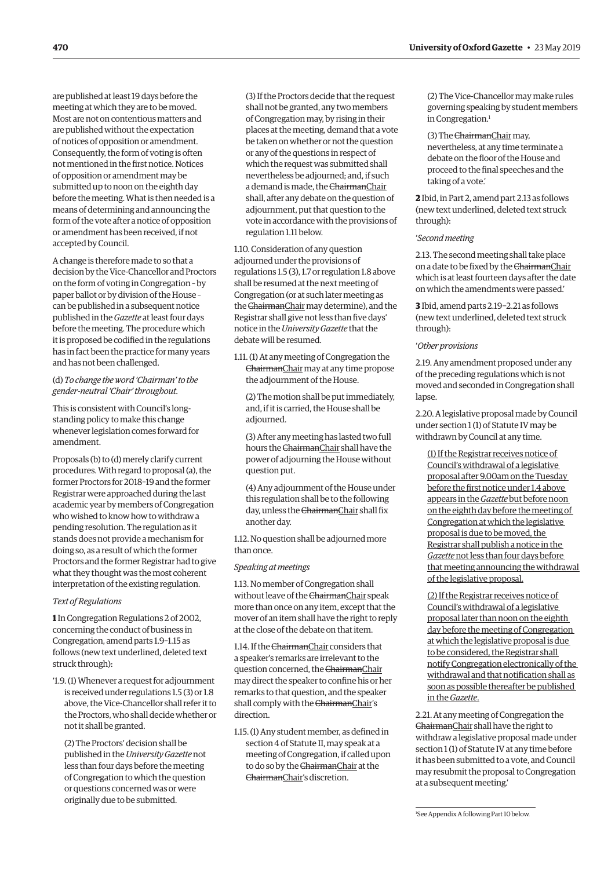are published at least 19 days before the meeting at which they are to be moved. Most are not on contentious matters and are published without the expectation of notices of opposition or amendment. Consequently, the form of voting is often not mentioned in the first notice. Notices of opposition or amendment may be submitted up to noon on the eighth day before the meeting. What is then needed is a means of determining and announcing the form of the vote after a notice of opposition or amendment has been received, if not accepted by Council.

A change is therefore made to so that a decision by the Vice-Chancellor and Proctors on the form of voting in Congregation – by paper ballot or by division of the House – can be published in a subsequent notice published in the *Gazette* at least four days before the meeting. The procedure which it is proposed be codified in the regulations has in fact been the practice for many years and has not been challenged.

# (d) *To change the word 'Chairman' to the gender-neutral 'Chair' throughout*.

This is consistent with Council's longstanding policy to make this change whenever legislation comes forward for amendment.

Proposals (b) to (d) merely clarify current procedures. With regard to proposal (a), the former Proctors for 2018–19 and the former Registrar were approached during the last academic year by members of Congregation who wished to know how to withdraw a pending resolution. The regulation as it stands does not provide a mechanism for doing so, as a result of which the former Proctors and the former Registrar had to give what they thought was the most coherent interpretation of the existing regulation.

#### *Text of Regulations*

**1** In Congregation Regulations 2 of 2002, concerning the conduct of business in Congregation, amend parts 1.9–1.15 as follows (new text underlined, deleted text struck through):

'1.9. (1) Whenever a request for adjournment is received under regulations 1.5 (3) or 1.8 above, the Vice-Chancellor shall refer it to the Proctors, who shall decide whether or not it shall be granted.

(2) The Proctors' decision shall be published in the *University Gazette* not less than four days before the meeting of Congregation to which the question or questions concerned was or were originally due to be submitted.

(3) If the Proctors decide that the request shall not be granted, any two members of Congregation may, by rising in their places at the meeting, demand that a vote be taken on whether or not the question or any of the questions in respect of which the request was submitted shall nevertheless be adjourned; and, if such a demand is made, the ChairmanChair shall, after any debate on the question of adjournment, put that question to the vote in accordance with the provisions of regulation 1.11 below.

1.10. Consideration of any question adjourned under the provisions of regulations 1.5 (3), 1.7 or regulation 1.8 above shall be resumed at the next meeting of Congregation (or at such later meeting as the ChairmanChair may determine), and the Registrar shall give not less than five days' notice in the *University Gazette* that the debate will be resumed.

1.11. (1) At any meeting of Congregation the ChairmanChair may at any time propose the adjournment of the House.

(2) The motion shall be put immediately, and, if it is carried, the House shall be adjourned.

(3) After any meeting has lasted two full hours the ChairmanChair shall have the power of adjourning the House without question put.

(4) Any adjournment of the House under this regulation shall be to the following day, unless the ChairmanChair shall fix another day.

1.12. No question shall be adjourned more than once.

# *Speaking at meetings*

1.13. No member of Congregation shall without leave of the ChairmanChair speak more than once on any item, except that the mover of an item shall have the right to reply at the close of the debate on that item.

1.14. If the ChairmanChair considers that a speaker's remarks are irrelevant to the question concerned, the ChairmanChair may direct the speaker to confine his or her remarks to that question, and the speaker shall comply with the ChairmanChair's direction.

1.15. (1) Any student member, as defined in section 4 of Statute II, may speak at a meeting of Congregation, if called upon to do so by the ChairmanChair at the ChairmanChair's discretion.

(2) The Vice-Chancellor may make rules governing speaking by student members in Congregation.<sup>1</sup>

(3) The ChairmanChair may, nevertheless, at any time terminate a

debate on the floor of the House and proceed to the final speeches and the taking of a vote.'

**2** Ibid, in Part 2, amend part 2.13 as follows (new text underlined, deleted text struck through):

# '*Second meeting*

2.13. The second meeting shall take place on a date to be fixed by the ChairmanChair which is at least fourteen days after the date on which the amendments were passed.'

**3** Ibid, amend parts 2.19−2.21 as follows (new text underlined, deleted text struck through):

# '*Other provisions*

2.19. Any amendment proposed under any of the preceding regulations which is not moved and seconded in Congregation shall lapse.

2.20. A legislative proposal made by Council under section 1 (1) of Statute IV may be withdrawn by Council at any time.

(1) If the Registrar receives notice of Council's withdrawal of a legislative proposal after 9.00am on the Tuesday before the first notice under 1.4 above appears in the *Gazette* but before noon on the eighth day before the meeting of Congregation at which the legislative proposal is due to be moved, the Registrar shall publish a notice in the *Gazette* not less than four days before that meeting announcing the withdrawal of the legislative proposal.

(2) If the Registrar receives notice of Council's withdrawal of a legislative proposal later than noon on the eighth day before the meeting of Congregation at which the legislative proposal is due to be considered, the Registrar shall notify Congregation electronically of the withdrawal and that notification shall as soon as possible thereafter be published in the *Gazette*.

2.21. At any meeting of Congregation the ChairmanChair shall have the right to withdraw a legislative proposal made under section 1 (1) of Statute IV at any time before it has been submitted to a vote, and Council may resubmit the proposal to Congregation at a subsequent meeting.'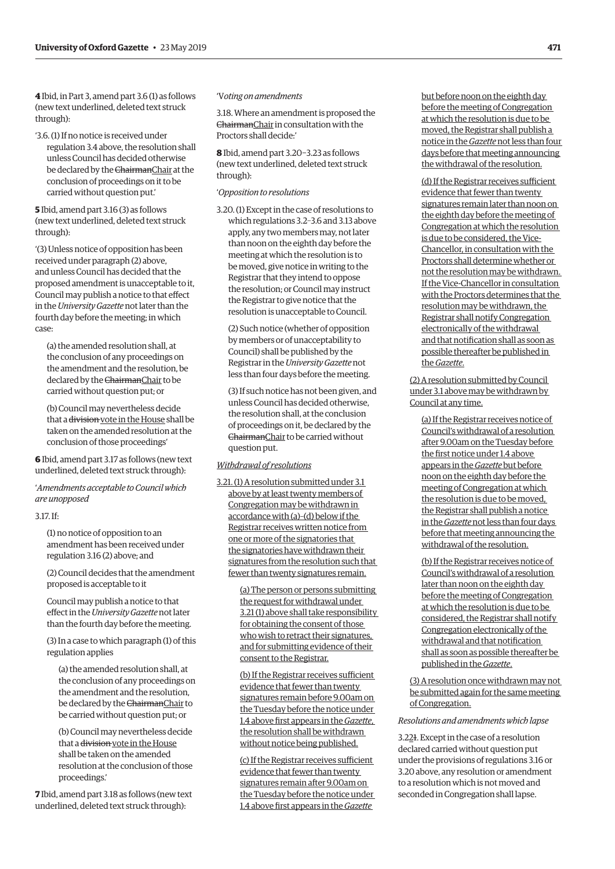**4** Ibid, in Part 3, amend part 3.6 (1) as follows (new text underlined, deleted text struck through):

'3.6. (1) If no notice is received under regulation 3.4 above, the resolution shall unless Council has decided otherwise be declared by the ChairmanChair at the conclusion of proceedings on it to be carried without question put.'

**5** Ibid, amend part 3.16 (3) as follows (new text underlined, deleted text struck through):

'(3) Unless notice of opposition has been received under paragraph (2) above, and unless Council has decided that the proposed amendment is unacceptable to it, Council may publish a notice to that effect in the *University Gazette* not later than the fourth day before the meeting; in which case:

(a) the amended resolution shall, at the conclusion of any proceedings on the amendment and the resolution, be declared by the ChairmanChair to be carried without question put; or

(b) Council may nevertheless decide that a division vote in the House shall be taken on the amended resolution at the conclusion of those proceedings'

**6** Ibid, amend part 3.17 as follows (new text underlined, deleted text struck through):

'*Amendments acceptable to Council which are unopposed*

#### 3.17. If:

(1) no notice of opposition to an amendment has been received under regulation 3.16 (2) above; and

(2) Council decides that the amendment proposed is acceptable to it

Council may publish a notice to that effect in the *University Gazette* not later than the fourth day before the meeting.

(3) In a case to which paragraph (1) of this regulation applies

(a) the amended resolution shall, at the conclusion of any proceedings on the amendment and the resolution, be declared by the ChairmanChair to be carried without question put; or

(b) Council may nevertheless decide that a division vote in the House shall be taken on the amended resolution at the conclusion of those proceedings.'

**7** Ibid, amend part 3.18 as follows (new text underlined, deleted text struck through):

## 'V*oting on amendments*

3.18. Where an amendment is proposed the ChairmanChair in consultation with the Proctors shall decide:'

**8** Ibid, amend part 3.20−3.23 as follows (new text underlined, deleted text struck through):

#### '*Opposition to resolutions*

3.20. (1) Except in the case of resolutions to which regulations 3.2–3.6 and 3.13 above apply, any two members may, not later than noon on the eighth day before the meeting at which the resolution is to be moved, give notice in writing to the Registrar that they intend to oppose the resolution; or Council may instruct the Registrar to give notice that the resolution is unacceptable to Council.

(2) Such notice (whether of opposition by members or of unacceptability to Council) shall be published by the Registrar in the *University Gazette* not less than four days before the meeting.

(3) If such notice has not been given, and unless Council has decided otherwise, the resolution shall, at the conclusion of proceedings on it, be declared by the ChairmanChair to be carried without question put.

#### *Withdrawal of resolutions*

3.21. (1) A resolution submitted under 3.1 above by at least twenty members of Congregation may be withdrawn in accordance with (a)–(d) below if the Registrar receives written notice from one or more of the signatories that the signatories have withdrawn their signatures from the resolution such that fewer than twenty signatures remain.

> (a) The person or persons submitting the request for withdrawal under 3.21 (1) above shall take responsibility for obtaining the consent of those who wish to retract their signatures, and for submitting evidence of their consent to the Registrar.

(b) If the Registrar receives sufficient evidence that fewer than twenty signatures remain before 9.00am on the Tuesday before the notice under 1.4 above first appears in the *Gazette*, the resolution shall be withdrawn without notice being published.

(c) If the Registrar receives sufficient evidence that fewer than twenty signatures remain after 9.00am on the Tuesday before the notice under 1.4 above first appears in the *Gazette*

but before noon on the eighth day before the meeting of Congregation at which the resolution is due to be moved, the Registrar shall publish a notice in the *Gazette* not less than four days before that meeting announcing the withdrawal of the resolution.

(d) If the Registrar receives sufficient evidence that fewer than twenty signatures remain later than noon on the eighth day before the meeting of Congregation at which the resolution is due to be considered, the Vice-Chancellor, in consultation with the Proctors shall determine whether or not the resolution may be withdrawn. If the Vice-Chancellor in consultation with the Proctors determines that the resolution may be withdrawn, the Registrar shall notify Congregation electronically of the withdrawal and that notification shall as soon as possible thereafter be published in the *Gazette*.

(2) A resolution submitted by Council under 3.1 above may be withdrawn by Council at any time.

(a) If the Registrar receives notice of Council's withdrawal of a resolution after 9.00am on the Tuesday before the first notice under 1.4 above appears in the *Gazette* but before noon on the eighth day before the meeting of Congregation at which the resolution is due to be moved, the Registrar shall publish a notice in the *Gazette* not less than four days before that meeting announcing the withdrawal of the resolution.

(b) If the Registrar receives notice of Council's withdrawal of a resolution later than noon on the eighth day before the meeting of Congregation at which the resolution is due to be considered, the Registrar shall notify Congregation electronically of the withdrawal and that notification shall as soon as possible thereafter be published in the *Gazette*.

(3) A resolution once withdrawn may not be submitted again for the same meeting of Congregation.

#### *Resolutions and amendments which lapse*

3.221. Except in the case of a resolution declared carried without question put under the provisions of regulations 3.16 or 3.20 above, any resolution or amendment to a resolution which is not moved and seconded in Congregation shall lapse.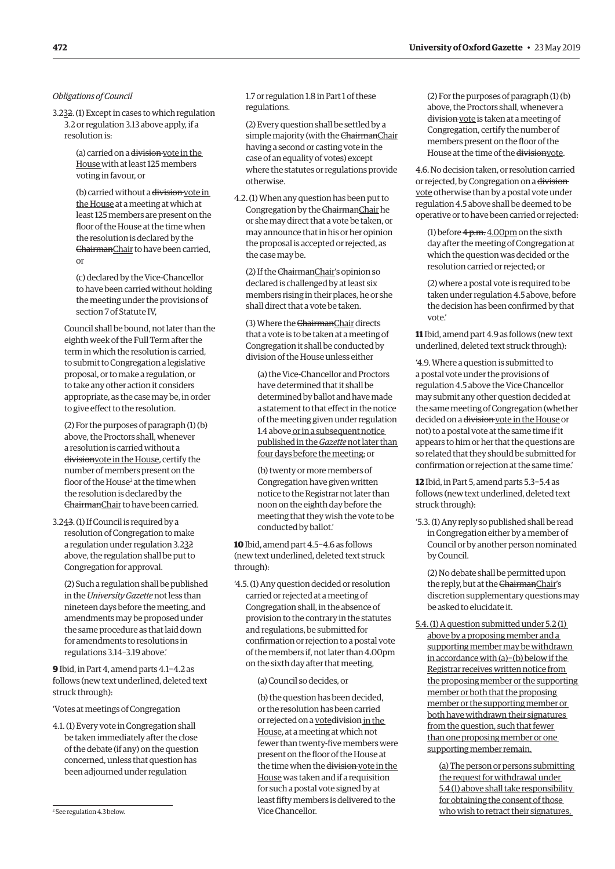# *Obligations of Council*

3.232. (1) Except in cases to which regulation 3.2 or regulation 3.13 above apply, if a resolution is:

> (a) carried on a division vote in the House with at least 125 members voting in favour, or

(b) carried without a division vote in the House at a meeting at which at least 125 members are present on the floor of the House at the time when the resolution is declared by the ChairmanChair to have been carried, or

(c) declared by the Vice-Chancellor to have been carried without holding the meeting under the provisions of section 7 of Statute IV,

Council shall be bound, not later than the eighth week of the Full Term after the term in which the resolution is carried, to submit to Congregation a legislative proposal, or to make a regulation, or to take any other action it considers appropriate, as the case may be, in order to give effect to the resolution.

(2) For the purposes of paragraph (1) (b) above, the Proctors shall, whenever a resolution is carried without a divisionvote in the House, certify the number of members present on the floor of the House<sup>2</sup> at the time when the resolution is declared by the ChairmanChair to have been carried.

3.243. (1) If Council is required by a resolution of Congregation to make a regulation under regulation 3.232 above, the regulation shall be put to Congregation for approval.

(2) Such a regulation shall be published in the *University Gazette* not less than nineteen days before the meeting, and amendments may be proposed under the same procedure as that laid down for amendments to resolutions in regulations 3.14–3.19 above.'

**9** Ibid, in Part 4, amend parts 4.1−4.2 as follows (new text underlined, deleted text struck through):

'Votes at meetings of Congregation

4.1. (1) Every vote in Congregation shall be taken immediately after the close of the debate (if any) on the question concerned, unless that question has been adjourned under regulation

<sup>2</sup> See regulation 4.3 below.

1.7 or regulation 1.8 in Part 1 of these regulations.

(2) Every question shall be settled by a simple majority (with the ChairmanChair having a second or casting vote in the case of an equality of votes) except where the statutes or regulations provide otherwise.

4.2. (1) When any question has been put to Congregation by the ChairmanChair he or she may direct that a vote be taken, or may announce that in his or her opinion the proposal is accepted or rejected, as the case may be.

(2) If the ChairmanChair's opinion so declared is challenged by at least six members rising in their places, he or she shall direct that a vote be taken.

(3) Where the ChairmanChair directs that a vote is to be taken at a meeting of Congregation it shall be conducted by division of the House unless either

(a) the Vice-Chancellor and Proctors have determined that it shall be determined by ballot and have made a statement to that effect in the notice of the meeting given under regulation 1.4 above or in a subsequent notice published in the *Gazette* not later than four days before the meeting; or

(b) twenty or more members of Congregation have given written notice to the Registrar not later than noon on the eighth day before the meeting that they wish the vote to be conducted by ballot.'

**10** Ibid, amend part 4.5−4.6 as follows (new text underlined, deleted text struck through):

'4.5. (1) Any question decided or resolution carried or rejected at a meeting of Congregation shall, in the absence of provision to the contrary in the statutes and regulations, be submitted for confirmation or rejection to a postal vote of the members if, not later than 4.00pm on the sixth day after that meeting,

#### (a) Council so decides, or

(b) the question has been decided, or the resolution has been carried or rejected on a votedivision in the House, at a meeting at which not fewer than twenty-five members were present on the floor of the House at the time when the <del>division</del> yote in the House was taken and if a requisition for such a postal vote signed by at least fifty members is delivered to the Vice Chancellor.

(2) For the purposes of paragraph (1) (b) above, the Proctors shall, whenever a division vote is taken at a meeting of Congregation, certify the number of members present on the floor of the House at the time of the divisionvote.

4.6. No decision taken, or resolution carried or rejected, by Congregation on a division vote otherwise than by a postal vote under regulation 4.5 above shall be deemed to be operative or to have been carried or rejected:

(1) before  $4p.m.4.00pm$  on the sixth day after the meeting of Congregation at which the question was decided or the resolution carried or rejected; or

(2) where a postal vote is required to be taken under regulation 4.5 above, before the decision has been confirmed by that vote.'

**11** Ibid, amend part 4.9 as follows (new text underlined, deleted text struck through):

'4.9. Where a question is submitted to a postal vote under the provisions of regulation 4.5 above the Vice Chancellor may submit any other question decided at the same meeting of Congregation (whether decided on a division vote in the House or not) to a postal vote at the same time if it appears to him or her that the questions are so related that they should be submitted for confirmation or rejection at the same time.'

**12** Ibid, in Part 5, amend parts 5.3−5.4 as follows (new text underlined, deleted text struck through):

'5.3. (1) Any reply so published shall be read in Congregation either by a member of Council or by another person nominated by Council.

(2) No debate shall be permitted upon the reply, but at the ChairmanChair's discretion supplementary questions may be asked to elucidate it.

5.4. (1) A question submitted under 5.2 (1) above by a proposing member and a supporting member may be withdrawn in accordance with (a)−(b) below if the Registrar receives written notice from the proposing member or the supporting member or both that the proposing member or the supporting member or both have withdrawn their signatures from the question, such that fewer than one proposing member or one supporting member remain.

> (a) The person or persons submitting the request for withdrawal under 5.4 (1) above shall take responsibility for obtaining the consent of those who wish to retract their signatures, 2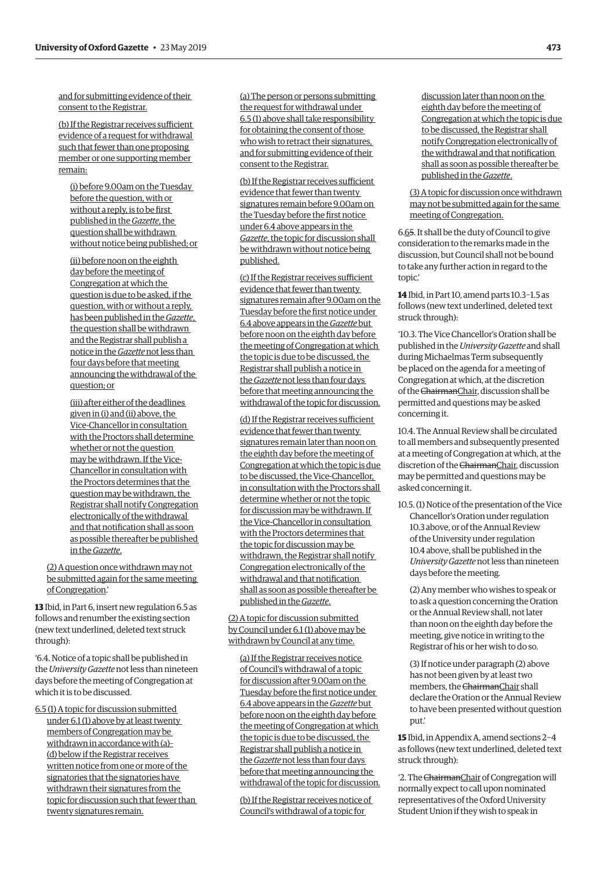and for submitting evidence of their consent to the Registrar.

(b) If the Registrar receives sufficient evidence of a request for withdrawal such that fewer than one proposing member or one supporting member remain:

(i) before 9.00am on the Tuesday before the question, with or without a reply, is to be first published in the *Gazette*, the question shall be withdrawn without notice being published; or

(ii) before noon on the eighth day before the meeting of Congregation at which the question is due to be asked, if the question, with or without a reply, has been published in the *Gazette*, the question shall be withdrawn and the Registrar shall publish a notice in the *Gazette* not less than four days before that meeting announcing the withdrawal of the question; or

(iii) after either of the deadlines given in (i) and (ii) above, the Vice-Chancellor in consultation with the Proctors shall determine whether or not the question may be withdrawn. If the Vice-Chancellor in consultation with the Proctors determines that the question may be withdrawn, the Registrar shall notify Congregation electronically of the withdrawal and that notification shall as soon as possible thereafter be published in the *Gazette*.

(2) A question once withdrawn may not be submitted again for the same meeting of Congregation.'

**13** Ibid, in Part 6, insert new regulation 6.5 as follows and renumber the existing section (new text underlined, deleted text struck through):

'6.4. Notice of a topic shall be published in the *University Gazette* not less than nineteen days before the meeting of Congregation at which it is to be discussed.

6.5 (1) A topic for discussion submitted under 6.1 (1) above by at least twenty members of Congregation may be withdrawn in accordance with (a)– (d) below if the Registrar receives written notice from one or more of the signatories that the signatories have withdrawn their signatures from the topic for discussion such that fewer than twenty signatures remain.

(a) The person or persons submitting the request for withdrawal under 6.5 (1) above shall take responsibility for obtaining the consent of those who wish to retract their signatures, and for submitting evidence of their consent to the Registrar.

(b) If the Registrar receives sufficient evidence that fewer than twenty signatures remain before 9.00am on the Tuesday before the first notice under 6.4 above appears in the *Gazette*, the topic for discussion shall be withdrawn without notice being published.

(c) If the Registrar receives sufficient evidence that fewer than twenty signatures remain after 9.00am on the Tuesday before the first notice under 6.4 above appears in the *Gazette* but before noon on the eighth day before the meeting of Congregation at which the topic is due to be discussed, the Registrar shall publish a notice in the *Gazette* not less than four days before that meeting announcing the withdrawal of the topic for discussion.

(d) If the Registrar receives sufficient evidence that fewer than twenty signatures remain later than noon on the eighth day before the meeting of Congregation at which the topic is due to be discussed, the Vice-Chancellor, in consultation with the Proctors shall determine whether or not the topic for discussion may be withdrawn. If the Vice-Chancellor in consultation with the Proctors determines that the topic for discussion may be withdrawn, the Registrar shall notify Congregation electronically of the withdrawal and that notification shall as soon as possible thereafter be published in the *Gazette*.

(2) A topic for discussion submitted by Council under 6.1 (1) above may be withdrawn by Council at any time.

(a) If the Registrar receives notice of Council's withdrawal of a topic for discussion after 9.00am on the Tuesday before the first notice under 6.4 above appears in the *Gazette* but before noon on the eighth day before the meeting of Congregation at which the topic is due to be discussed, the Registrar shall publish a notice in the *Gazette* not less than four days before that meeting announcing the withdrawal of the topic for discussion.

(b) If the Registrar receives notice of Council's withdrawal of a topic for

discussion later than noon on the eighth day before the meeting of Congregation at which the topic is due to be discussed, the Registrar shall notify Congregation electronically of the withdrawal and that notification shall as soon as possible thereafter be published in the *Gazette*.

(3) A topic for discussion once withdrawn may not be submitted again for the same meeting of Congregation.

6.65. It shall be the duty of Council to give consideration to the remarks made in the discussion, but Council shall not be bound to take any further action in regard to the topic.'

**14** Ibid, in Part 10, amend parts 10.3−1.5 as follows (new text underlined, deleted text struck through):

'10.3. The Vice Chancellor's Oration shall be published in the *University Gazette* and shall during Michaelmas Term subsequently be placed on the agenda for a meeting of Congregation at which, at the discretion of the ChairmanChair, discussion shall be permitted and questions may be asked concerning it.

10.4. The Annual Review shall be circulated to all members and subsequently presented at a meeting of Congregation at which, at the discretion of the ChairmanChair, discussion may be permitted and questions may be asked concerning it.

10.5. (1) Notice of the presentation of the Vice Chancellor's Oration under regulation 10.3 above, or of the Annual Review of the University under regulation 10.4 above, shall be published in the *University Gazette* not less than nineteen days before the meeting.

(2) Any member who wishes to speak or to ask a question concerning the Oration or the Annual Review shall, not later than noon on the eighth day before the meeting, give notice in writing to the Registrar of his or her wish to do so.

(3) If notice under paragraph (2) above has not been given by at least two members, the ChairmanChair shall declare the Oration or the Annual Review to have been presented without question put.'

**15** Ibid, in Appendix A, amend sections 2−4 as follows (new text underlined, deleted text struck through):

'2. The ChairmanChair of Congregation will normally expect to call upon nominated representatives of the Oxford University Student Union if they wish to speak in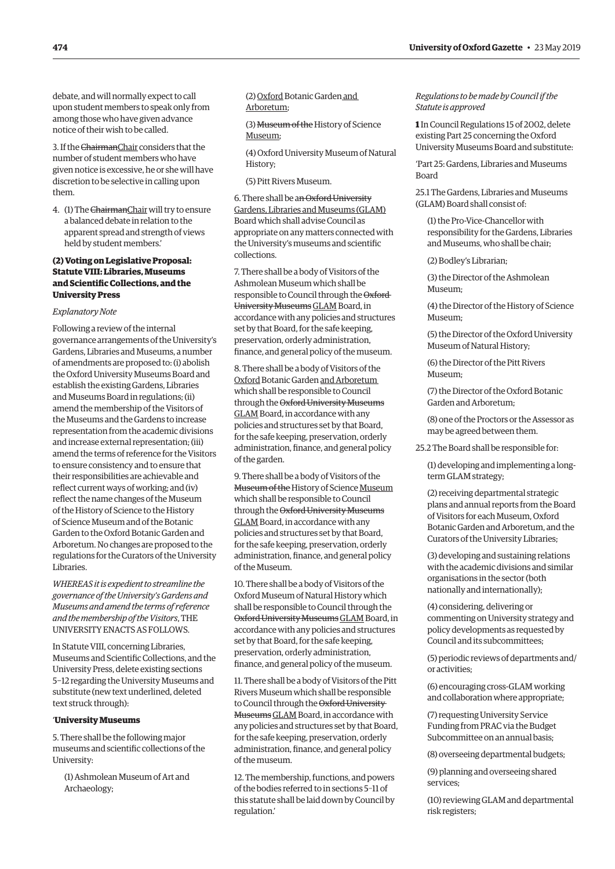<span id="page-7-0"></span>debate, and will normally expect to call upon student members to speak only from among those who have given advance notice of their wish to be called.

3. If the ChairmanChair considers that the number of student members who have given notice is excessive, he or she will have discretion to be selective in calling upon them.

4. (1) The ChairmanChair will try to ensure a balanced debate in relation to the apparent spread and strength of views held by student members.'

# **(2) Voting on Legislative Proposal: Statute VIII: Libraries, Museums and Scientific Collections, and the University Press**

#### *Explanatory Note*

Following a review of the internal governance arrangements of the University's Gardens, Libraries and Museums, a number of amendments are proposed to: (i) abolish the Oxford University Museums Board and establish the existing Gardens, Libraries and Museums Board in regulations; (ii) amend the membership of the Visitors of the Museums and the Gardens to increase representation from the academic divisions and increase external representation; (iii) amend the terms of reference for the Visitors to ensure consistency and to ensure that their responsibilities are achievable and reflect current ways of working; and (iv) reflect the name changes of the Museum of the History of Science to the History of Science Museum and of the Botanic Garden to the Oxford Botanic Garden and Arboretum. No changes are proposed to the regulations for the Curators of the University Libraries.

*WHEREAS it is expedient to streamline the governance of the University's Gardens and Museums and amend the terms of reference and the membership of the Visitors*, THE UNIVERSITY ENACTS AS FOLLOWS.

In Statute VIII, concerning Libraries, Museums and Scientific Collections, and the University Press, delete existing sections 5−12 regarding the University Museums and substitute (new text underlined, deleted text struck through):

#### '**University Museums**

5. There shall be the following major museums and scientific collections of the University:

(1) Ashmolean Museum of Art and Archaeology;

(2) Oxford Botanic Garden and Arboretum;

(3) Museum of the History of Science Museum;

(4) Oxford University Museum of Natural History;

(5) Pitt Rivers Museum.

6. There shall be an Oxford University Gardens, Libraries and Museums (GLAM) Board which shall advise Council as appropriate on any matters connected with the University's museums and scientific collections.

7. There shall be a body of Visitors of the Ashmolean Museum which shall be responsible to Council through the Oxford University Museums GLAM Board, in accordance with any policies and structures set by that Board, for the safe keeping, preservation, orderly administration, finance, and general policy of the museum.

8. There shall be a body of Visitors of the Oxford Botanic Garden and Arboretum which shall be responsible to Council through the Oxford University Museums GLAM Board, in accordance with any policies and structures set by that Board, for the safe keeping, preservation, orderly administration, finance, and general policy of the garden.

9. There shall be a body of Visitors of the Museum of the History of Science Museum which shall be responsible to Council through the Oxford University Museums GLAM Board, in accordance with any policies and structures set by that Board, for the safe keeping, preservation, orderly administration, finance, and general policy of the Museum.

10. There shall be a body of Visitors of the Oxford Museum of Natural History which shall be responsible to Council through the Oxford University MuseumsGLAM Board, in accordance with any policies and structures set by that Board, for the safe keeping, preservation, orderly administration, finance, and general policy of the museum.

11. There shall be a body of Visitors of the Pitt Rivers Museum which shall be responsible to Council through the Oxford University MuseumsGLAM Board, in accordance with any policies and structures set by that Board, for the safe keeping, preservation, orderly administration, finance, and general policy of the museum.

12. The membership, functions, and powers of the bodies referred to in sections 5–11 of this statute shall be laid down by Council by regulation.'

*Regulations to be made by Council if the Statute is approved*

**1** In Council Regulations 15 of 2002, delete existing Part 25 concerning the Oxford University Museums Board and substitute:

'Part 25: Gardens, Libraries and Museums Board

25.1 The Gardens, Libraries and Museums (GLAM) Board shall consist of:

(1) the Pro-Vice-Chancellor with responsibility for the Gardens, Libraries and Museums, who shall be chair;

(2) Bodley's Librarian;

(3) the Director of the Ashmolean Museum;

(4) the Director of the History of Science Museum;

(5) the Director of the Oxford University Museum of Natural History;

(6) the Director of the Pitt Rivers Museum;

(7) the Director of the Oxford Botanic Garden and Arboretum;

(8) one of the Proctors or the Assessor as may be agreed between them.

25.2 The Board shall be responsible for:

(1) developing and implementing a longterm GLAM strategy;

(2) receiving departmental strategic plans and annual reports from the Board of Visitors for each Museum, Oxford Botanic Garden and Arboretum, and the Curators of the University Libraries;

(3) developing and sustaining relations with the academic divisions and similar organisations in the sector (both nationally and internationally);

(4) considering, delivering or commenting on University strategy and policy developments as requested by Council and its subcommittees;

(5) periodic reviews of departments and/ or activities;

(6) encouraging cross-GLAM working and collaboration where appropriate;

(7) requesting University Service Funding from PRAC via the Budget Subcommittee on an annual basis;

(8) overseeing departmental budgets;

(9) planning and overseeing shared services;

(10) reviewing GLAM and departmental risk registers;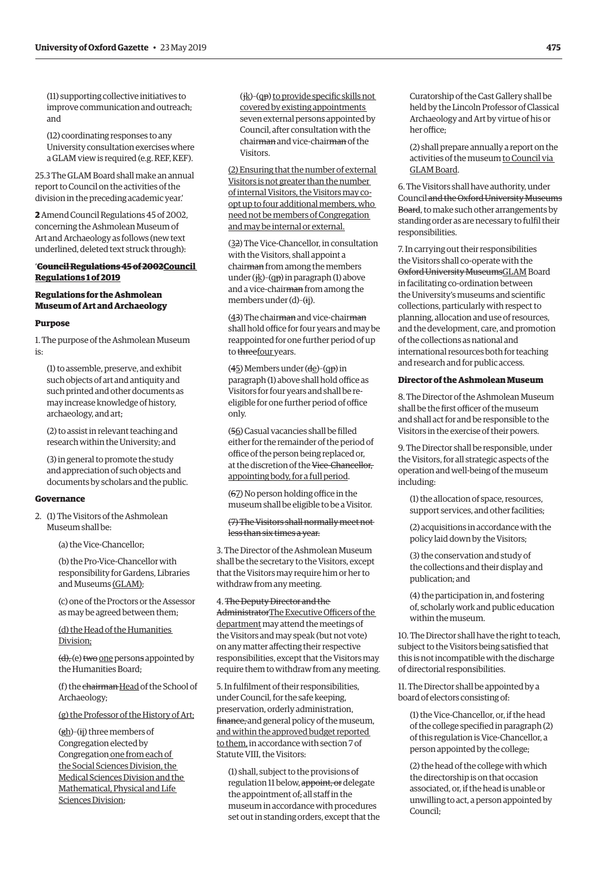(11) supporting collective initiatives to improve communication and outreach; and

(12) coordinating responses to any University consultation exercises where a GLAM view is required (e.g. REF, KEF).

25.3 The GLAM Board shall make an annual report to Council on the activities of the division in the preceding academic year.'

**2** Amend Council Regulations 45 of 2002, concerning the Ashmolean Museum of Art and Archaeology as follows (new text underlined, deleted text struck through):

# '**Council Regulations 45 of 2002Council Regulations 1 of 2019**

# **Regulations for the Ashmolean Museum of Art and Archaeology**

# **Purpose**

1. The purpose of the Ashmolean Museum is:

(1) to assemble, preserve, and exhibit such objects of art and antiquity and such printed and other documents as may increase knowledge of history, archaeology, and art;

(2) to assist in relevant teaching and research within the University; and

(3) in general to promote the study and appreciation of such objects and documents by scholars and the public.

#### **Governance**

2. (1) The Visitors of the Ashmolean Museum shall be:

(a) the Vice-Chancellor;

(b) the Pro-Vice-Chancellor with responsibility for Gardens, Libraries and Museums (GLAM);

(c) one of the Proctors or the Assessor as may be agreed between them;

(d) the Head of the Humanities Division;

 $(d)$ , (e) two one persons appointed by the Humanities Board;

(f) the chairman Head of the School of Archaeology;

(g) the Professor of the History of Art;

 $(gh)$ –(ij) three members of Congregation elected by Congregation one from each of the Social Sciences Division, the Medical Sciences Division and the Mathematical, Physical and Life Sciences Division;

 $(ik)-(qp)$  to provide specific skills not covered by existing appointments seven external persons appointed by Council, after consultation with the chairman and vice-chairman of the Visitors.

(2) Ensuring that the number of external Visitors is not greater than the number of internal Visitors, the Visitors may coopt up to four additional members, who need not be members of Congregation and may be internal or external.

(32) The Vice-Chancellor, in consultation with the Visitors, shall appoint a chairman from among the members under ( $ik$ )–(qp) in paragraph (1) above and a vice-chairman from among the members under (d)–(ij).

(43) The chairman and vice-chairman shall hold office for four years and may be reappointed for one further period of up to threefour years.

(45) Members under (de)–(qp) in paragraph (1) above shall hold office as Visitors for four years and shall be reeligible for one further period of office only.

(56) Casual vacancies shall be filled either for the remainder of the period of office of the person being replaced or, at the discretion of the Vice-Chancellor, appointing body, for a full period.

(67) No person holding office in the museum shall be eligible to be a Visitor.

#### (7) The Visitors shall normally meet not less than six times a year.

3. The Director of the Ashmolean Museum shall be the secretary to the Visitors, except that the Visitors may require him or her to withdraw from any meeting.

# 4. The Deputy Director and the

AdministratorThe Executive Officers of the department may attend the meetings of the Visitors and may speak (but not vote) on any matter affecting their respective responsibilities, except that the Visitors may require them to withdraw from any meeting.

5. In fulfilment of their responsibilities, under Council, for the safe keeping, preservation, orderly administration, finance, and general policy of the museum, and within the approved budget reported to them, in accordance with section 7 of Statute VIII, the Visitors:

(1) shall, subject to the provisions of regulation 11 below, appoint, or delegate the appointment of, all staff in the museum in accordance with procedures set out in standing orders, except that the Curatorship of the Cast Gallery shall be held by the Lincoln Professor of Classical Archaeology and Art by virtue of his or her office;

(2) shall prepare annually a report on the activities of the museum to Council via GLAM Board.

6. The Visitors shall have authority, under Council and the Oxford University Museums Board, to make such other arrangements by standing order as are necessary to fulfil their responsibilities.

7. In carrying out their responsibilities the Visitors shall co-operate with the Oxford University MuseumsGLAM Board in facilitating co-ordination between the University's museums and scientific collections, particularly with respect to planning, allocation and use of resources, and the development, care, and promotion of the collections as national and international resources both for teaching and research and for public access.

# **Director of the Ashmolean Museum**

8. The Director of the Ashmolean Museum shall be the first officer of the museum and shall act for and be responsible to the Visitors in the exercise of their powers.

9. The Director shall be responsible, under the Visitors, for all strategic aspects of the operation and well-being of the museum including:

(1) the allocation of space, resources, support services, and other facilities;

(2) acquisitions in accordance with the policy laid down by the Visitors;

(3) the conservation and study of the collections and their display and publication; and

(4) the participation in, and fostering of, scholarly work and public education within the museum.

10. The Director shall have the right to teach, subject to the Visitors being satisfied that this is not incompatible with the discharge of directorial responsibilities.

11. The Director shall be appointed by a board of electors consisting of:

(1) the Vice-Chancellor, or, if the head of the college specified in paragraph (2) of this regulation is Vice-Chancellor, a person appointed by the college;

(2) the head of the college with which the directorship is on that occasion associated, or, if the head is unable or unwilling to act, a person appointed by Council;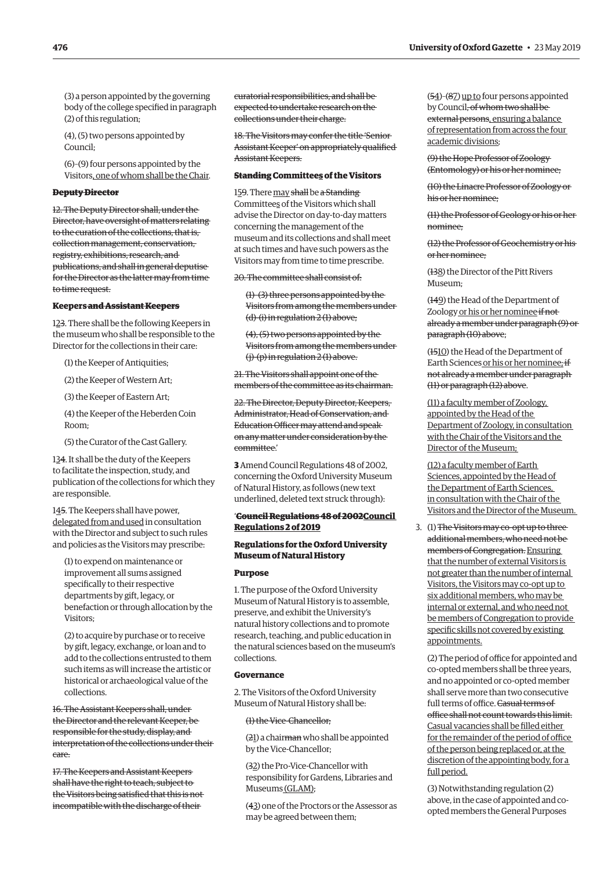(3) a person appointed by the governing body of the college specified in paragraph (2) of this regulation;

(4), (5) two persons appointed by Council;

(6)–(9) four persons appointed by the Visitors, one of whom shall be the Chair.

### **Deputy Director**

12. The Deputy Director shall, under the Director, have oversight of matters relating to the curation of the collections, that is, collection management, conservation, registry, exhibitions, research, and publications, and shall in general deputise for the Director as the latter may from time to time request.

#### **Keepers and Assistant Keepers**

123. There shall be the following Keepers in the museum who shall be responsible to the Director for the collections in their care:

(1) the Keeper of Antiquities;

(2) the Keeper of Western Art;

(3) the Keeper of Eastern Art;

(4) the Keeper of the Heberden Coin Room;

(5) the Curator of the Cast Gallery.

134. It shall be the duty of the Keepers to facilitate the inspection, study, and publication of the collections for which they are responsible.

145. The Keepers shall have power, delegated from and used in consultation with the Director and subject to such rules and policies as the Visitors may prescribe:

(1) to expend on maintenance or improvement all sums assigned specifically to their respective departments by gift, legacy, or benefaction or through allocation by the Visitors;

(2) to acquire by purchase or to receive by gift, legacy, exchange, or loan and to add to the collections entrusted to them such items as will increase the artistic or historical or archaeological value of the collections.

16. The Assistant Keepers shall, under the Director and the relevant Keeper, be responsible for the study, display, and interpretation of the collections under their care.

17. The Keepers and Assistant Keepers shall have the right to teach, subject to the Visitors being satisfied that this is not incompatible with the discharge of their

curatorial responsibilities, and shall be expected to undertake research on the collections under their charge.

18. The Visitors may confer the title 'Senior Assistant Keeper' on appropriately qualified Assistant Keepers.

# **Standing Committees of the Visitors**

159. There may shall be a Standing Committees of the Visitors which shall advise the Director on day-to-day matters concerning the management of the museum and its collections and shall meet at such times and have such powers as the Visitors may from time to time prescribe.

20. The committee shall consist of:

(1)–(3) three persons appointed by the Visitors from among the members under (d)-(i) in regulation 2 (1) above;

(4), (5) two persons appointed by the Visitors from among the members under (j)-(p) in regulation 2 (1) above.

21. The Visitors shall appoint one of the members of the committee as its chairman.

22. The Director, Deputy Director, Keepers, Administrator, Head of Conservation, and Education Officer may attend and speak on any matter under consideration by the committee.'

**3** Amend Council Regulations 48 of 2002, concerning the Oxford University Museum of Natural History, as follows (new text underlined, deleted text struck through):

# '**Council Regulations 48 of 2002Council Regulations 2 of 2019**

# **Regulations for the Oxford University Museum of Natural History**

### **Purpose**

1. The purpose of the Oxford University Museum of Natural History is to assemble, preserve, and exhibit the University's natural history collections and to promote research, teaching, and public education in the natural sciences based on the museum's collections.

## **Governance**

2. The Visitors of the Oxford University Museum of Natural History shall be:

(1) the Vice-Chancellor;

(21) a chairman who shall be appointed by the Vice-Chancellor;

(32) the Pro-Vice-Chancellor with responsibility for Gardens, Libraries and Museums (GLAM);

(43) one of the Proctors or the Assessor as may be agreed between them;

(54)–(87) up to four persons appointed by Council, of whom two shall be external persons, ensuring a balance of representation from across the four academic divisions;

(9) the Hope Professor of Zoology (Entomology) or his or her nominee;

(10) the Linacre Professor of Zoology or his or her nominee;

(11) the Professor of Geology or his or her nominee;

(12) the Professor of Geochemistry or his or her nominee;

(138) the Director of the Pitt Rivers Museum·

(149) the Head of the Department of Zoology or his or her nominee if not already a member under paragraph (9) or paragraph (10) above;

(1510) the Head of the Department of Earth Sciences or his or her nominee; if not already a member under paragraph (11) or paragraph (12) above.

(11) a faculty member of Zoology, appointed by the Head of the Department of Zoology, in consultation with the Chair of the Visitors and the Director of the Museum;

(12) a faculty member of Earth Sciences, appointed by the Head of the Department of Earth Sciences, in consultation with the Chair of the Visitors and the Director of the Museum.

3. (1) The Visitors may co-opt up to three additional members, who need not be members of Congregation. Ensuring that the number of external Visitors is not greater than the number of internal Visitors, the Visitors may co-opt up to six additional members, who may be internal or external, and who need not be members of Congregation to provide specific skills not covered by existing appointments.

(2) The period of office for appointed and co-opted members shall be three years, and no appointed or co-opted member shall serve more than two consecutive full terms of office. Casual terms of office shall not count towards this limit. Casual vacancies shall be filled either for the remainder of the period of office of the person being replaced or, at the discretion of the appointing body, for a full period.

(3) Notwithstanding regulation (2) above, in the case of appointed and coopted members the General Purposes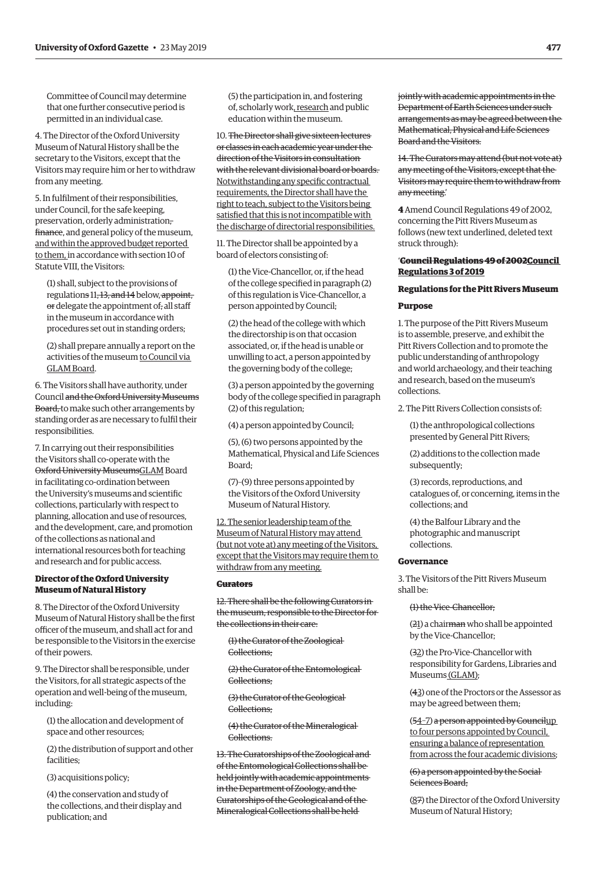Committee of Council may determine that one further consecutive period is permitted in an individual case.

4. The Director of the Oxford University Museum of Natural History shall be the secretary to the Visitors, except that the Visitors may require him or her to withdraw from any meeting.

5. In fulfilment of their responsibilities, under Council, for the safe keeping, preservation, orderly administration, finance, and general policy of the museum, and within the approved budget reported to them, in accordance with section 10 of Statute VIII, the Visitors:

(1) shall, subject to the provisions of regulations 11, 13, and 14 below, appoint, or delegate the appointment of, all staff in the museum in accordance with procedures set out in standing orders;

(2) shall prepare annually a report on the activities of the museum to Council via GLAM Board.

6. The Visitors shall have authority, under Council and the Oxford University Museums Board, to make such other arrangements by standing order as are necessary to fulfil their responsibilities.

7. In carrying out their responsibilities the Visitors shall co-operate with the Oxford University MuseumsGLAM Board in facilitating co-ordination between the University's museums and scientific collections, particularly with respect to planning, allocation and use of resources, and the development, care, and promotion of the collections as national and international resources both for teaching and research and for public access.

# **Director of the Oxford University Museum of Natural History**

8. The Director of the Oxford University Museum of Natural History shall be the first officer of the museum, and shall act for and be responsible to the Visitors in the exercise of their powers.

9. The Director shall be responsible, under the Visitors, for all strategic aspects of the operation and well-being of the museum, including:

(1) the allocation and development of space and other resources;

(2) the distribution of support and other facilities;

(3) acquisitions policy;

(4) the conservation and study of the collections, and their display and publication; and

(5) the participation in, and fostering of, scholarly work, research and public education within the museum.

10. The Director shall give sixteen lectures or classes in each academic year under the direction of the Visitors in consultation with the relevant divisional board or boards. Notwithstanding any specific contractual requirements, the Director shall have the right to teach, subject to the Visitors being satisfied that this is not incompatible with the discharge of directorial responsibilities.

11. The Director shall be appointed by a board of electors consisting of:

(1) the Vice-Chancellor, or, if the head of the college specified in paragraph (2) of this regulation is Vice-Chancellor, a person appointed by Council;

(2) the head of the college with which the directorship is on that occasion associated, or, if the head is unable or unwilling to act, a person appointed by the governing body of the college;

(3) a person appointed by the governing body of the college specified in paragraph (2) of this regulation;

(4) a person appointed by Council;

(5), (6) two persons appointed by the Mathematical, Physical and Life Sciences Board;

(7)–(9) three persons appointed by the Visitors of the Oxford University Museum of Natural History.

12. The senior leadership team of the Museum of Natural History may attend (but not vote at) any meeting of the Visitors, except that the Visitors may require them to withdraw from any meeting.

#### **Curators**

12. There shall be the following Curators in the museum, responsible to the Director for the collections in their care:

(1) the Curator of the Zoological Collections;

(2) the Curator of the Entomological Collections;

(3) the Curator of the Geological Collections;

(4) the Curator of the Mineralogical Collections.

13. The Curatorships of the Zoological and of the Entomological Collections shall be held jointly with academic appointments in the Department of Zoology, and the Curatorships of the Geological and of the Mineralogical Collections shall be held

jointly with academic appointments in the Department of Earth Sciences under such arrangements as may be agreed between the Mathematical, Physical and Life Sciences Board and the Visitors.

14. The Curators may attend (but not vote at) any meeting of the Visitors, except that the Visitors may require them to withdraw from any meeting.'

**4** Amend Council Regulations 49 of 2002, concerning the Pitt Rivers Museum as follows (new text underlined, deleted text struck through):

# '**Council Regulations 49 of 2002Council Regulations 3 of 2019**

# **Regulations for the Pitt Rivers Museum Purpose**

1. The purpose of the Pitt Rivers Museum is to assemble, preserve, and exhibit the Pitt Rivers Collection and to promote the public understanding of anthropology and world archaeology, and their teaching and research, based on the museum's collections.

2. The Pitt Rivers Collection consists of:

(1) the anthropological collections presented by General Pitt Rivers;

(2) additions to the collection made subsequently;

(3) records, reproductions, and catalogues of, or concerning, items in the collections; and

(4) the Balfour Library and the photographic and manuscript collections.

# **Governance**

3. The Visitors of the Pitt Rivers Museum shall be:

#### (1) the Vice-Chancellor;

(21) a chairman who shall be appointed by the Vice-Chancellor;

(32) the Pro-Vice-Chancellor with responsibility for Gardens, Libraries and Museums (GLAM);

(43) one of the Proctors or the Assessor as may be agreed between them;

(54–7) a person appointed by Councilup to four persons appointed by Council, ensuring a balance of representation from across the four academic divisions;

(6) a person appointed by the Social Sciences Board;

(87) the Director of the Oxford University Museum of Natural History;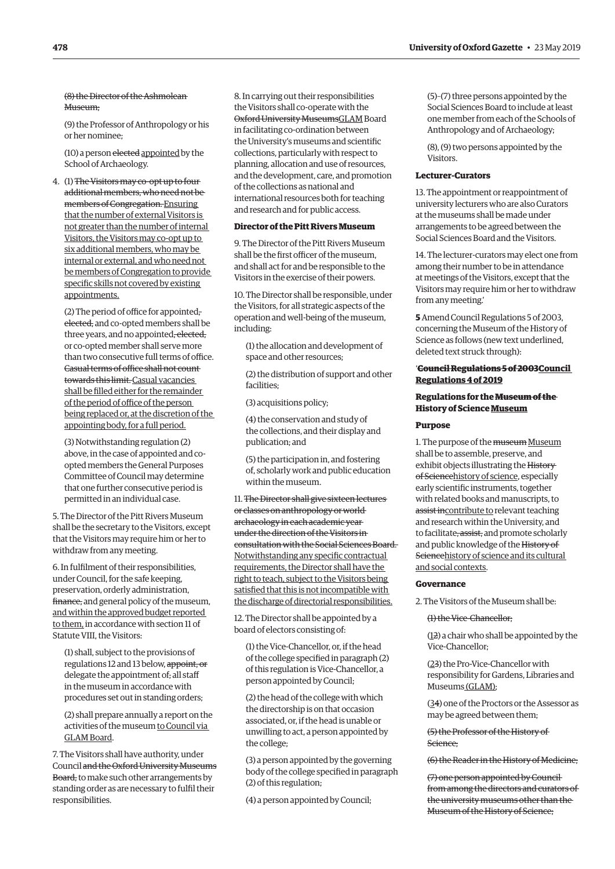# (8) the Director of the Ashmolean Museum:

(9) the Professor of Anthropology or his or her nominee;

(10) a person elected appointed by the School of Archaeology.

4. (1) The Visitors may co-opt up to four additional members, who need not be members of Congregation. Ensuring that the number of external Visitors is not greater than the number of internal Visitors, the Visitors may co-opt up to six additional members, who may be internal or external, and who need not be members of Congregation to provide specific skills not covered by existing appointments.

(2) The period of office for appointed, elected, and co-opted members shall be three years, and no appointed, elected, or co-opted member shall serve more than two consecutive full terms of office. Casual terms of office shall not count towards this limit. Casual vacancies shall be filled either for the remainder of the period of office of the person being replaced or, at the discretion of the appointing body, for a full period.

(3) Notwithstanding regulation (2) above, in the case of appointed and coopted members the General Purposes Committee of Council may determine that one further consecutive period is permitted in an individual case.

5. The Director of the Pitt Rivers Museum shall be the secretary to the Visitors, except that the Visitors may require him or her to withdraw from any meeting.

6. In fulfilment of their responsibilities, under Council, for the safe keeping, preservation, orderly administration, finance, and general policy of the museum, and within the approved budget reported to them, in accordance with section 11 of Statute VIII, the Visitors:

(1) shall, subject to the provisions of regulations 12 and 13 below, appoint, or delegate the appointment of, all staff in the museum in accordance with procedures set out in standing orders;

(2) shall prepare annually a report on the activities of the museum to Council via GLAM Board.

7. The Visitors shall have authority, under Council and the Oxford University Museums Board, to make such other arrangements by standing order as are necessary to fulfil their responsibilities.

8. In carrying out their responsibilities the Visitors shall co-operate with the Oxford University MuseumsGLAM Board in facilitating co-ordination between the University's museums and scientific collections, particularly with respect to planning, allocation and use of resources, and the development, care, and promotion of the collections as national and international resources both for teaching and research and for public access.

# **Director of the Pitt Rivers Museum**

9. The Director of the Pitt Rivers Museum shall be the first officer of the museum, and shall act for and be responsible to the Visitors in the exercise of their powers.

10. The Director shall be responsible, under the Visitors, for all strategic aspects of the operation and well-being of the museum, including:

(1) the allocation and development of space and other resources;

(2) the distribution of support and other facilities;

(3) acquisitions policy;

(4) the conservation and study of the collections, and their display and publication; and

(5) the participation in, and fostering of, scholarly work and public education within the museum.

11. The Director shall give sixteen lectures or classes on anthropology or world archaeology in each academic year under the direction of the Visitors in consultation with the Social Sciences Board. Notwithstanding any specific contractual requirements, the Director shall have the right to teach, subject to the Visitors being satisfied that this is not incompatible with the discharge of directorial responsibilities.

12. The Director shall be appointed by a board of electors consisting of:

(1) the Vice-Chancellor, or, if the head of the college specified in paragraph (2) of this regulation is Vice-Chancellor, a person appointed by Council;

(2) the head of the college with which the directorship is on that occasion associated, or, if the head is unable or unwilling to act, a person appointed by the college;

(3) a person appointed by the governing body of the college specified in paragraph (2) of this regulation;

(4) a person appointed by Council;

(5)–(7) three persons appointed by the Social Sciences Board to include at least one member from each of the Schools of Anthropology and of Archaeology;

(8), (9) two persons appointed by the Visitors.

# **Lecturer-Curators**

13. The appointment or reappointment of university lecturers who are also Curators at the museums shall be made under arrangements to be agreed between the Social Sciences Board and the Visitors.

14. The lecturer-curators may elect one from among their number to be in attendance at meetings of the Visitors, except that the Visitors may require him or her to withdraw from any meeting.'

**5** Amend Council Regulations 5 of 2003, concerning the Museum of the History of Science as follows (new text underlined, deleted text struck through):

# '**Council Regulations 5 of 2003Council Regulations 4 of 2019**

# **Regulations for the Museum of the History of Science Museum**

# **Purpose**

1. The purpose of the museum Museum shall be to assemble, preserve, and exhibit objects illustrating the History of Sciencehistory of science, especially early scientific instruments, together with related books and manuscripts, to assist incontribute to relevant teaching and research within the University, and to facilitate, assist, and promote scholarly and public knowledge of the History of Sciencehistory of science and its cultural and social contexts.

#### **Governance**

2. The Visitors of the Museum shall be:

#### (1) the Vice-Chancellor;

(12) a chair who shall be appointed by the Vice-Chancellor;

(23) the Pro-Vice-Chancellor with responsibility for Gardens, Libraries and Museums (GLAM);

(34) one of the Proctors or the Assessor as may be agreed between them;

(5) the Professor of the History of Science;

(6) the Reader in the History of Medicine;

(7) one person appointed by Council from among the directors and curators of the university museums other than the Museum of the History of Science;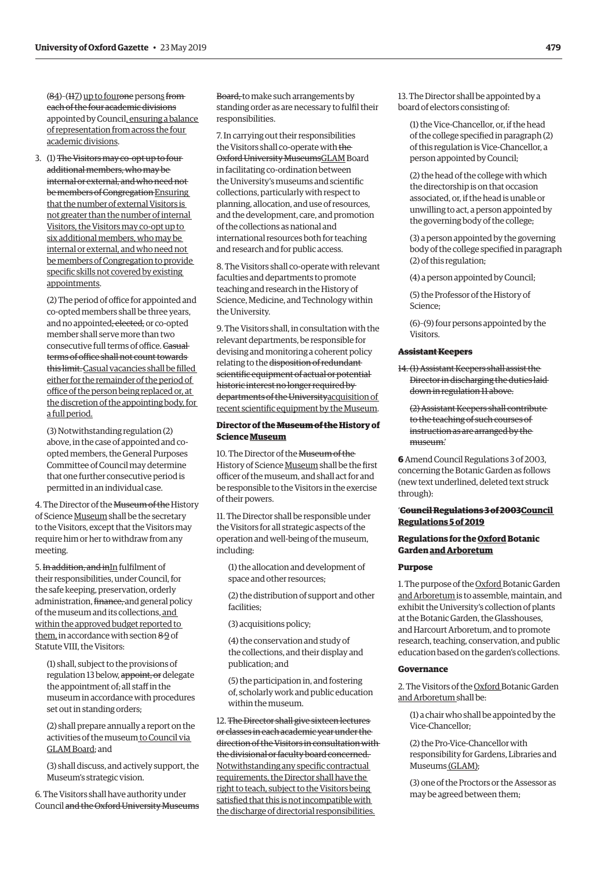$(84)$ - $(117)$  up to four<del>one</del> persons fromeach of the four academic divisions appointed by Council, ensuring a balance of representation from across the four academic divisions.

3. (1) The Visitors may co-opt up to four additional members, who may be internal or external, and who need not be members of Congregation Ensuring that the number of external Visitors is not greater than the number of internal Visitors, the Visitors may co-opt up to six additional members, who may be internal or external, and who need not be members of Congregation to provide specific skills not covered by existing appointments.

(2) The period of office for appointed and co-opted members shall be three years, and no appointed<del>, elected,</del> or co-opted member shall serve more than two consecutive full terms of office. Casual terms of office shall not count towards this limit. Casual vacancies shall be filled either for the remainder of the period of office of the person being replaced or, at the discretion of the appointing body, for a full period.

(3) Notwithstanding regulation (2) above, in the case of appointed and coopted members, the General Purposes Committee of Council may determine that one further consecutive period is permitted in an individual case.

4. The Director of the Museum of the History of Science Museum shall be the secretary to the Visitors, except that the Visitors may require him or her to withdraw from any meeting.

5. In addition, and inIn fulfilment of their responsibilities, under Council, for the safe keeping, preservation, orderly administration, finance, and general policy of the museum and its collections, and within the approved budget reported to them, in accordance with section 89 of Statute VIII, the Visitors:

(1) shall, subject to the provisions of regulation 13 below, appoint, or delegate the appointment of, all staff in the museum in accordance with procedures set out in standing orders;

(2) shall prepare annually a report on the activities of the museum to Council via GLAM Board; and

(3) shall discuss, and actively support, the Museum's strategic vision.

6. The Visitors shall have authority under Council and the Oxford University Museums

Board, to make such arrangements by standing order as are necessary to fulfil their responsibilities.

7. In carrying out their responsibilities the Visitors shall co-operate with the Oxford University MuseumsGLAM Board in facilitating co-ordination between the University's museums and scientific collections, particularly with respect to planning, allocation, and use of resources, and the development, care, and promotion of the collections as national and international resources both for teaching and research and for public access.

8. The Visitors shall co-operate with relevant faculties and departments to promote teaching and research in the History of Science, Medicine, and Technology within the University.

9. The Visitors shall, in consultation with the relevant departments, be responsible for devising and monitoring a coherent policy relating to the disposition of redundant scientific equipment of actual or potential historic interest no longer required by departments of the Universityacquisition of recent scientific equipment by the Museum.

# **Director of the Museum of the History of Science Museum**

10. The Director of the Museum of the History of Science Museum shall be the first officer of the museum, and shall act for and be responsible to the Visitors in the exercise of their powers.

11. The Director shall be responsible under the Visitors for all strategic aspects of the operation and well-being of the museum, including:

(1) the allocation and development of space and other resources;

(2) the distribution of support and other facilities;

(3) acquisitions policy;

(4) the conservation and study of the collections, and their display and publication; and

(5) the participation in, and fostering of, scholarly work and public education within the museum.

12. The Director shall give sixteen lectures or classes in each academic year under the direction of the Visitors in consultation with the divisional or faculty board concerned. Notwithstanding any specific contractual requirements, the Director shall have the right to teach, subject to the Visitors being satisfied that this is not incompatible with the discharge of directorial responsibilities.

13. The Director shall be appointed by a board of electors consisting of:

(1) the Vice-Chancellor, or, if the head of the college specified in paragraph (2) of this regulation is Vice-Chancellor, a person appointed by Council;

(2) the head of the college with which the directorship is on that occasion associated, or, if the head is unable or unwilling to act, a person appointed by the governing body of the college;

(3) a person appointed by the governing body of the college specified in paragraph (2) of this regulation;

(4) a person appointed by Council;

(5) the Professor of the History of Science;

(6)–(9) four persons appointed by the Visitors.

# **Assistant Keepers**

14. (1) Assistant Keepers shall assist the Director in discharging the duties laid down in regulation 11 above.

(2) Assistant Keepers shall contribute to the teaching of such courses of instruction as are arranged by the museum.'

**6** Amend Council Regulations 3 of 2003, concerning the Botanic Garden as follows (new text underlined, deleted text struck through):

# '**Council Regulations 3 of 2003Council Regulations 5 of 2019**

# **Regulations for the Oxford Botanic Garden and Arboretum**

#### **Purpose**

1. The purpose of the Oxford Botanic Garden and Arboretum is to assemble, maintain, and exhibit the University's collection of plants at the Botanic Garden, the Glasshouses, and Harcourt Arboretum, and to promote research, teaching, conservation, and public education based on the garden's collections.

#### **Governance**

2. The Visitors of the Oxford Botanic Garden and Arboretum shall be:

(1) a chair who shall be appointed by the Vice-Chancellor;

(2) the Pro-Vice-Chancellor with responsibility for Gardens, Libraries and Museums (GLAM);

(3) one of the Proctors or the Assessor as may be agreed between them;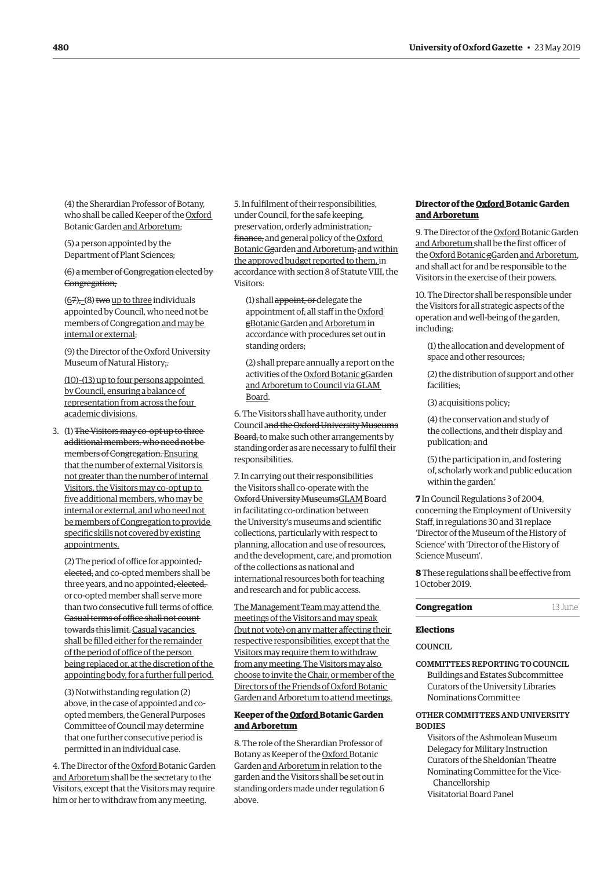<span id="page-13-0"></span>(4) the Sherardian Professor of Botany, who shall be called Keeper of the Oxford Botanic Garden and Arboretum;

(5) a person appointed by the Department of Plant Sciences;

# (6) a member of Congregation elected by Congregation;

 $(67)$ <sub>7</sub> $(8)$  two up to three individuals appointed by Council, who need not be members of Congregation and may be internal or external;

(9) the Director of the Oxford University Museum of Natural History;.

(10)–(13) up to four persons appointed by Council, ensuring a balance of representation from across the four academic divisions.

3. (1) The Visitors may co-opt up to three additional members, who need not be members of Congregation. Ensuring that the number of external Visitors is not greater than the number of internal Visitors, the Visitors may co-opt up to five additional members, who may be internal or external, and who need not be members of Congregation to provide specific skills not covered by existing appointments.

(2) The period of office for appointed, elected, and co-opted members shall be three years, and no appointed, elected, or co-opted member shall serve more than two consecutive full terms of office. Casual terms of office shall not count towards this limit. Casual vacancies shall be filled either for the remainder of the period of office of the person being replaced or, at the discretion of the appointing body, for a further full period.

(3) Notwithstanding regulation (2) above, in the case of appointed and coopted members, the General Purposes Committee of Council may determine that one further consecutive period is permitted in an individual case.

4. The Director of the Oxford Botanic Garden and Arboretum shall be the secretary to the Visitors, except that the Visitors may require him or her to withdraw from any meeting.

5. In fulfilment of their responsibilities, under Council, for the safe keeping, preservation, orderly administration, finance, and general policy of the Oxford Botanic Ggarden and Arboretum, and within the approved budget reported to them, in accordance with section 8 of Statute VIII, the Visitors:

(1) shall appoint, or delegate the appointment of, all staff in the Oxford gBotanic Garden and Arboretum in accordance with procedures set out in standing orders;

(2) shall prepare annually a report on the activities of the Oxford Botanic gGarden and Arboretum to Council via GLAM Board.

6. The Visitors shall have authority, under Council and the Oxford University Museums Board, to make such other arrangements by standing order as are necessary to fulfil their responsibilities.

7. In carrying out their responsibilities the Visitors shall co-operate with the Oxford University MuseumsGLAM Board in facilitating co-ordination between the University's museums and scientific collections, particularly with respect to planning, allocation and use of resources, and the development, care, and promotion of the collections as national and international resources both for teaching and research and for public access.

The Management Team may attend the meetings of the Visitors and may speak (but not vote) on any matter affecting their respective responsibilities, except that the Visitors may require them to withdraw from any meeting. The Visitors may also choose to invite the Chair, or member of the Directors of the Friends of Oxford Botanic Garden and Arboretum to attend meetings.

# **Keeper of the Oxford Botanic Garden and Arboretum**

8. The role of the Sherardian Professor of Botany as Keeper of the Oxford Botanic Garden and Arboretum in relation to the garden and the Visitors shall be set out in standing orders made under regulation 6 above.

## **Director of the Oxford Botanic Garden and Arboretum**

9. The Director of the Oxford Botanic Garden and Arboretum shall be the first officer of the Oxford Botanic gGarden and Arboretum, and shall act for and be responsible to the Visitors in the exercise of their powers.

10. The Director shall be responsible under the Visitors for all strategic aspects of the operation and well-being of the garden, including:

(1) the allocation and development of space and other resources;

(2) the distribution of support and other facilities;

(3) acquisitions policy;

(4) the conservation and study of the collections, and their display and publication; and

(5) the participation in, and fostering of, scholarly work and public education within the garden.'

**7** In Council Regulations 3 of 2004, concerning the Employment of University Staff, in regulations 30 and 31 replace 'Director of the Museum of the History of Science' with 'Director of the History of Science Museum'.

**8** These regulations shall be effective from 1 October 2019.

# **Elections**

**COUNCIL** 

COMMITTEES REPORTING TO COUNCIL Buildings and Estates Subcommittee Curators of the University Libraries Nominations Committee

# OTHER COMMITTEES AND UNIVERSITY **BODIES**

Visitors of the Ashmolean Museum Delegacy for Military Instruction Curators of the Sheldonian Theatre Nominating Committee for the Vice-Chancellorship Visitatorial Board Panel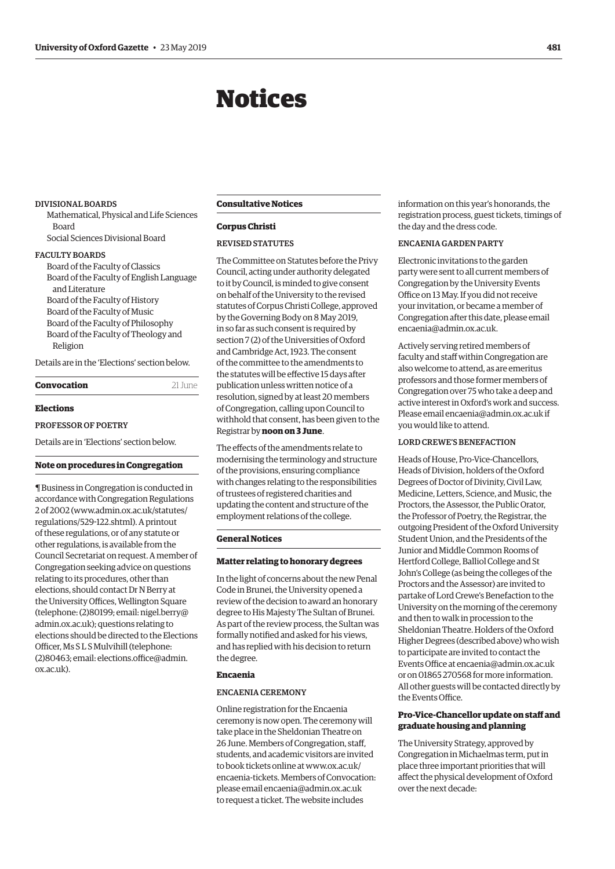# Notices

#### <span id="page-14-0"></span>DIVISIONAL BOARDS

Mathematical, Physical and Life Sciences Board Social Sciences Divisional Board

#### FACULTY BOARDS

Board of the Faculty of Classics Board of the Faculty of English Language and Literature Board of the Faculty of History Board of the Faculty of Music Board of the Faculty of Philosophy Board of the Faculty of Theology and Religion

Details are in the 'Elections' section below.

| 21 June |
|---------|
|         |

# **Elections**

# PROFESSOR OF POETRY

Details are in 'Elections' section below.

# **Note on procedures in Congregation**

¶ Business in Congregation is conducted in accordance with Congregation Regulations 2 of 2002 [\(www.admin.ox.ac.uk/statutes/](http://www.admin.ox.ac.uk/statutes/regulations/529-122.shtml) [regulations/529-122.shtml\). A](http://www.admin.ox.ac.uk/statutes/regulations/529-122.shtml) printout of these regulations, or of any statute or other regulations, is available from the Council Secretariat on request. A member of Congregation seeking advice on questions relating to its procedures, other than elections, should contact Dr N Berry at the University Offices, Wellington Square [\(telephone: \(2\)80199; email: nigel.berry@](mailto:nigel.berry@admin.ox.ac.uk) admin.ox.ac.uk); questions relating to elections should be directed to the Elections Officer, Ms S L S Mulvihill (telephone: [\(2\)80463; email: elections.office@admin.](mailto:elections.office@admin.ox.ac.uk) ox.ac.uk).

# **Consultative Notices**

### **Corpus Christi**

#### REVISED STATUTES

The Committee on Statutes before the Privy Council, acting under authority delegated to it by Council, is minded to give consent on behalf of the University to the revised statutes of Corpus Christi College, approved by the Governing Body on 8 May 2019, in so far as such consent is required by section 7 (2) of the Universities of Oxford and Cambridge Act, 1923. The consent of the committee to the amendments to the statutes will be effective 15 days after publication unless written notice of a resolution, signed by at least 20 members of Congregation, calling upon Council to withhold that consent, has been given to the Registrar by **noon on 3 June**.

The effects of the amendments relate to modernising the terminology and structure of the provisions, ensuring compliance with changes relating to the responsibilities of trustees of registered charities and updating the content and structure of the employment relations of the college.

## **General Notices**

#### **Matter relating to honorary degrees**

In the light of concerns about the new Penal Code in Brunei, the University opened a review of the decision to award an honorary degree to His Majesty The Sultan of Brunei. As part of the review process, the Sultan was formally notified and asked for his views, and has replied with his decision to return the degree.

# **Encaenia**

#### ENCAENIA CEREMONY

Online registration for the Encaenia ceremony is now open. The ceremony will take place in the Sheldonian Theatre on 26 June. Members of Congregation, staff, students, and academic visitors are invited to book tickets online at [www.ox.ac.uk/](http://www.ox.ac.uk/encaenia-tickets) [encaenia-tickets.](http://www.ox.ac.uk/encaenia-tickets) Members of Convocation: please email [encaenia@admin.ox.ac.uk](mailto:encaenia@admin.ox.ac.uk) to request a ticket. The website includes

information on this year's honorands, the registration process, guest tickets, timings of the day and the dress code.

# ENCAENIA GARDEN PARTY

Electronic invitations to the garden party were sent to all current members of Congregation by the University Events Office on 13 May. If you did not receive your invitation, or became a member of Congregation after this date, please email [encaenia@admin.ox.ac.uk](mailto:encaenia@admin.ox.ac.uk).

Actively serving retired members of faculty and staff within Congregation are also welcome to attend, as are emeritus professors and those former members of Congregation over 75 who take a deep and active interest in Oxford's work and success. Please email [encaenia@admin.ox.ac.uk](mailto:encaenia@admin.ox.ac.uk) if you would like to attend.

#### LORD CREWE'S BENEFACTION

Heads of House, Pro-Vice-Chancellors, Heads of Division, holders of the Oxford Degrees of Doctor of Divinity, Civil Law, Medicine, Letters, Science, and Music, the Proctors, the Assessor, the Public Orator, the Professor of Poetry, the Registrar, the outgoing President of the Oxford University Student Union, and the Presidents of the Junior and Middle Common Rooms of Hertford College, Balliol College and St John's College (as being the colleges of the Proctors and the Assessor) are invited to partake of Lord Crewe's Benefaction to the University on the morning of the ceremony and then to walk in procession to the Sheldonian Theatre. Holders of the Oxford Higher Degrees (described above) who wish to participate are invited to contact the Events Office at [encaenia@admin.ox.ac.uk](mailto:encaenia@admin.ox.ac.uk) or on 01865 270568 for more information. All other guests will be contacted directly by the Events Office.

# **Pro-Vice-Chancellor update on staff and graduate housing and planning**

The University Strategy, approved by Congregation in Michaelmas term, put in place three important priorities that will affect the physical development of Oxford over the next decade: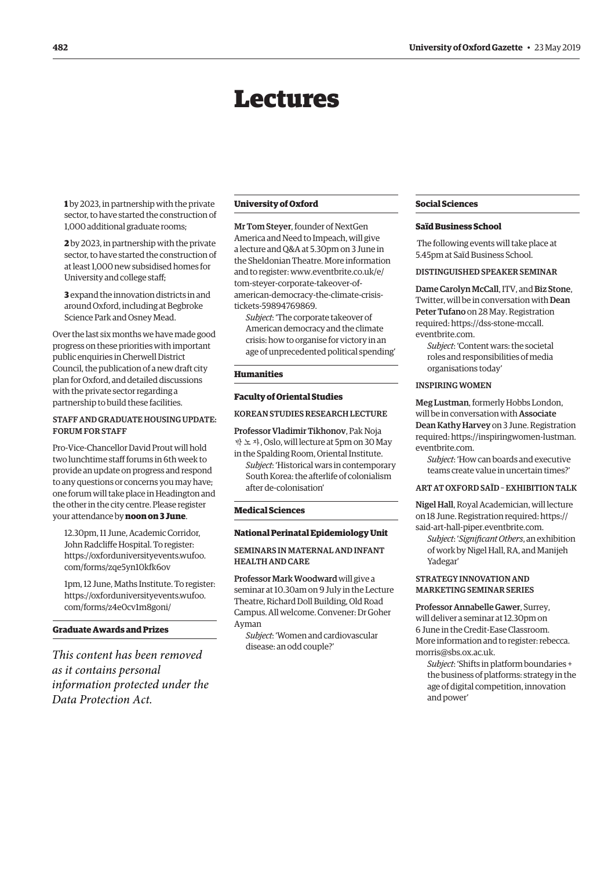# Lectures

<span id="page-15-0"></span>**1** by 2023, in partnership with the private sector, to have started the construction of 1,000 additional graduate rooms;

**2** by 2023, in partnership with the private sector, to have started the construction of at least 1,000 new subsidised homes for University and college staff;

**3** expand the innovation districts in and around Oxford, including at Begbroke Science Park and Osney Mead.

Over the last six months we have made good progress on these priorities with important public enquiries in Cherwell District Council, the publication of a new draft city plan for Oxford, and detailed discussions with the private sector regarding a partnership to build these facilities.

# STAFF AND GRADUATE HOUSING UPDATE: FORUM FOR STAFF

Pro-Vice-Chancellor David Prout will hold two lunchtime staff forums in 6th week to provide an update on progress and respond to any questions or concerns you may have; one forum will take place in Headington and the other in the city centre. Please register your attendance by **noon on 3 June**.

12.30pm, 11 June, Academic Corridor, John Radcliffe Hospital. To register: [https://oxforduniversityevents.wufoo.](https://oxforduniversityevents.wufoo.com/forms/zqe5yn10kfk6ov) [com/forms/zqe5yn10kfk6ov](https://oxforduniversityevents.wufoo.com/forms/zqe5yn10kfk6ov)

1pm, 12 June, Maths Institute. To register: [https://oxforduniversityevents.wufoo.](https://oxforduniversityevents.wufoo.com/forms/z4e0cv1m8goni/) [com/forms/z4e0cv1m8goni/](https://oxforduniversityevents.wufoo.com/forms/z4e0cv1m8goni/)

# **Graduate Awards and Prizes**

*This content has been removed as it contains personal information protected under the Data Protection Act.*

#### **University of Oxford**

Mr Tom Steyer, founder of NextGen America and Need to Impeach, will give a lecture and Q&A at 5.30pm on 3 June in the Sheldonian Theatre. More information and to register: [www.eventbrite.co.uk/e/](http://www.eventbrite.co.uk/e/tom-steyer-corporate-takeover-of-american-democracy-the-climate-crisis-tickets-59894769869) [tom-steyer-corporate-takeover-of](http://www.eventbrite.co.uk/e/tom-steyer-corporate-takeover-of-american-democracy-the-climate-crisis-tickets-59894769869)[american-democracy-the-climate-crisis](http://www.eventbrite.co.uk/e/tom-steyer-corporate-takeover-of-american-democracy-the-climate-crisis-tickets-59894769869)[tickets-59894769869.](http://www.eventbrite.co.uk/e/tom-steyer-corporate-takeover-of-american-democracy-the-climate-crisis-tickets-59894769869)

*Subject*: 'The corporate takeover of American democracy and the climate crisis: how to organise for victory in an age of unprecedented political spending'

# **Humanities**

#### **Faculty of Oriental Studies**

# KOREAN STUDIES RESEARCH LECTURE

Professor Vladimir Tikhonov, Pak Noja 박노자, Oslo, will lecture at 5pm on 30 May

in the Spalding Room, Oriental Institute. *Subject*: 'Historical wars in contemporary South Korea: the afterlife of colonialism after de-colonisation'

#### **Medical Sciences**

#### **National Perinatal Epidemiology Unit**

# SEMINARS IN MATERNAL AND INFANT HEALTH AND CARE

Professor Mark Woodward will give a seminar at 10.30am on 9 July in the Lecture Theatre, Richard Doll Building, Old Road Campus. All welcome. Convener: Dr Goher Ayman

*Subject*: 'Women and cardiovascular disease: an odd couple?'

# **Social Sciences**

### **Saïd Business School**

 The following events will take place at 5.45pm at Saïd Business School.

#### DISTINGUISHED SPEAKER SEMINAR

Dame Carolyn McCall, ITV, and Biz Stone, Twitter, will be in conversation with Dean Peter Tufano on 28 May. Registration required: [https://dss-stone-mccall.](https://dss-stone-mccall.eventbrite.com) [eventbrite.com.](https://dss-stone-mccall.eventbrite.com)

*Subject*: 'Content wars: the societal roles and responsibilities of media organisations today'

#### INSPIRING WOMEN

Meg Lustman, formerly Hobbs London, will be in conversation with Associate Dean Kathy Harvey on 3 June. Registration required: [https://inspiringwomen-lustman.](https://inspiringwomen-lustman.eventbrite.com) [eventbrite.com](https://inspiringwomen-lustman.eventbrite.com).

*Subject*: 'How can boards and executive teams create value in uncertain times?'

# ART AT OXFORD SAÏD – EXHIBITION TALK

Nigel Hall, Royal Academician, will lecture on 18 June. Registration required: [https://](https://said-art-hall-piper.eventbrite.com) [said-art-hall-piper.eventbrite.com.](https://said-art-hall-piper.eventbrite.com)

*Subject*: '*Significant Others*, an exhibition of work by Nigel Hall, RA, and Manijeh Yadegar'

### STRATEGY INNOVATION AND MARKETING SEMINAR SERIES

Professor Annabelle Gawer, Surrey, will deliver a seminar at 12.30pm on 6 June in the Credit-Ease Classroom. More information and to register: [rebecca.](mailto:rebecca.morris@sbs.ox.ac.uk) [morris@sbs.ox.ac.uk.](mailto:rebecca.morris@sbs.ox.ac.uk)

*Subject*: 'Shifts in platform boundaries + the business of platforms: strategy in the age of digital competition, innovation and power'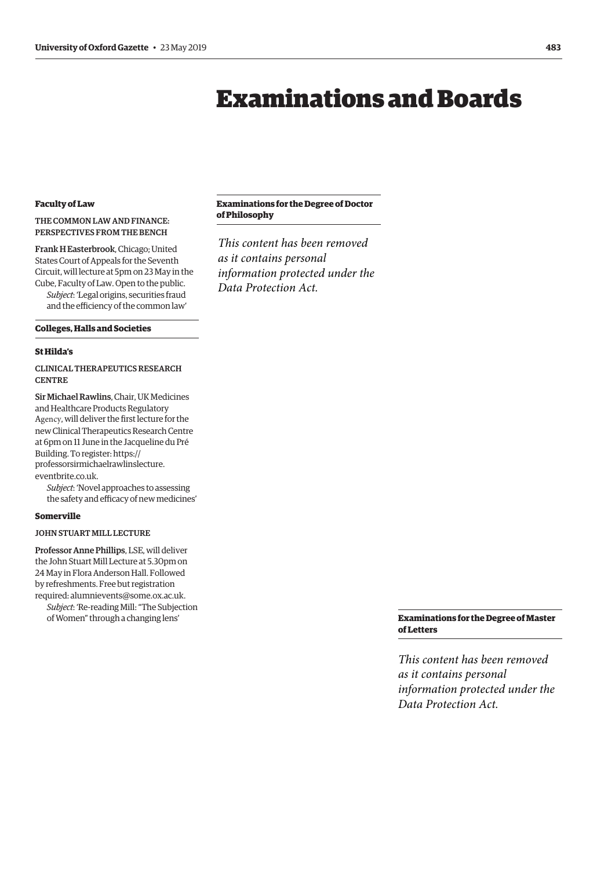# Examinations and Boards

# <span id="page-16-0"></span>**Faculty of Law**

# THE COMMON LAW AND FINANCE: PERSPECTIVES FROM THE BENCH

Frank H Easterbrook, Chicago; United States Court of Appeals for the Seventh Circuit, will lecture at 5pm on 23 May in the Cube, Faculty of Law. Open to the public.

*Subject*: 'Legal origins, securities fraud and the efficiency of the common law'

#### **Colleges, Halls and Societies**

#### **St Hilda's**

CLINICAL THERAPEUTICS RESEARCH **CENTRE** 

Sir Michael Rawlins, Chair, UK Medicines and Healthcare Products Regulatory Agency, will deliver the first lecture for the new Clinical Therapeutics Research Centre at 6pm on 11 June in the Jacqueline du Pré Building. To register: https:/[/](https://professorsirmichaelrawlinslecture.eventbrite.co.uk) [professorsirmichaelrawlinslecture.](https://professorsirmichaelrawlinslecture.eventbrite.co.uk)

[eventbrite.co.uk](https://professorsirmichaelrawlinslecture.eventbrite.co.uk).

*Subject*: 'Novel approaches to assessing the safety and efficacy of new medicines'

# **Somerville**

# JOHN STUART MILL LECTURE

Professor Anne Phillips, LSE, will deliver the John Stuart Mill Lecture at 5.30pm on 24 May in Flora Anderson Hall. Followed by refreshments. Free but registration required: [alumnievents@some.ox.ac.uk.](mailto:alumnievents@some.ox.ac.uk) *Subject*: 'Re-reading Mill: "The Subjection

of Women" through a changing lens'

# **Examinations for the Degree of Doctor of Philosophy**

*This content has been removed as it contains personal information protected under the Data Protection Act.*

# **Examinations for the Degree of Master of Letters**

*This content has been removed as it contains personal information protected under the Data Protection Act.*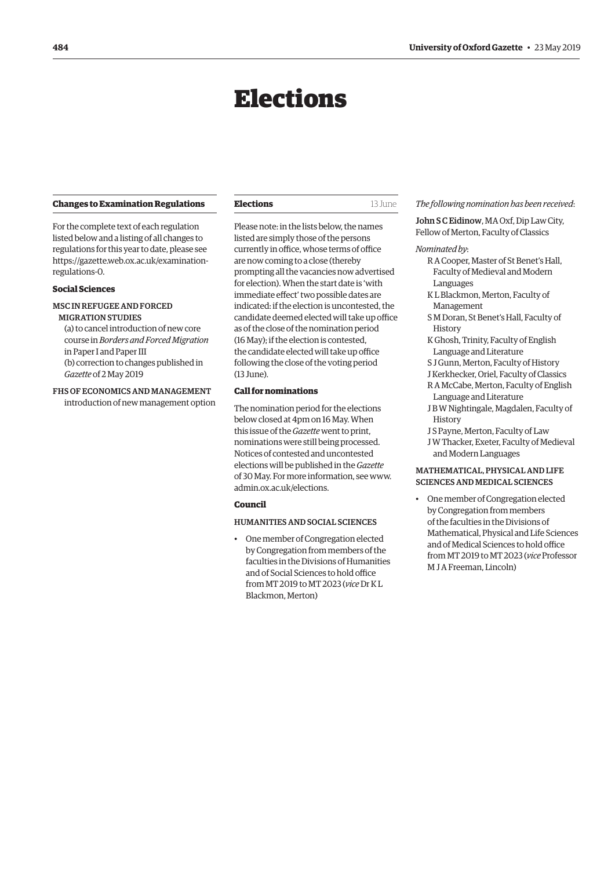# Elections

#### <span id="page-17-0"></span>**Changes to Examination Regulations**

For the complete text of each regulation listed below and a listing of all changes to regulations for this year to date, please see [https://gazette.web.ox.ac.uk/examination](https://gazette/web.ox.ac.uk/examination-regulations-0)regulations-0.

#### **Social Sciences**

#### MSC IN REFUGEE AND FORCED MIGRATION STUDIES

(a) to cancel introduction of new core course in *Borders and Forced Migration* in Paper I and Paper III (b) correction to changes published in *Gazette* of 2 May 2019

## FHS OF ECONOMICS AND MANAGEMENT introduction of new management option

**Elections** 13 June

Please note: in the lists below, the names listed are simply those of the persons currently in office, whose terms of office are now coming to a close (thereby prompting all the vacancies now advertised for election). When the start date is 'with immediate effect' two possible dates are indicated: if the election is uncontested, the candidate deemed elected will take up office as of the close of the nomination period (16 May); if the election is contested, the candidate elected will take up office following the close of the voting period (13 June).

# **Call for nominations**

The nomination period for the elections below closed at 4pm on 16 May. When this issue of the *Gazette* went to print, nominations were still being processed. Notices of contested and uncontested elections will be published in the *Gazette* [of 30 May. For more information, see www.](www.admin.ox.ac.uk/elections) admin.ox.ac.uk/elections.

# **Council**

## HUMANITIES AND SOCIAL SCIENCES

• One member of Congregation elected by Congregation from members of the faculties in the Divisions of Humanities and of Social Sciences to hold office from MT 2019 to MT 2023 (*vice* Dr K L Blackmon, Merton)

#### *The following nomination has been received*:

John S C Eidinow, MA Oxf, Dip Law City, Fellow of Merton, Faculty of Classics

#### *Nominated by*:

- R A Cooper, Master of St Benet's Hall, Faculty of Medieval and Modern Languages
- K L Blackmon, Merton, Faculty of Management
- S M Doran, St Benet's Hall, Faculty of **History**
- K Ghosh, Trinity, Faculty of English Language and Literature
- S J Gunn, Merton, Faculty of History
- J Kerkhecker, Oriel, Faculty of Classics
- R A McCabe, Merton, Faculty of English Language and Literature
- J B W Nightingale, Magdalen, Faculty of History
- J S Payne, Merton, Faculty of Law
- J W Thacker, Exeter, Faculty of Medieval and Modern Languages

# MATHEMATICAL, PHYSICAL AND LIFE SCIENCES AND MEDICAL SCIENCES

• One member of Congregation elected by Congregation from members of the faculties in the Divisions of Mathematical, Physical and Life Sciences and of Medical Sciences to hold office from MT 2019 to MT 2023 (*vice* Professor M J A Freeman, Lincoln)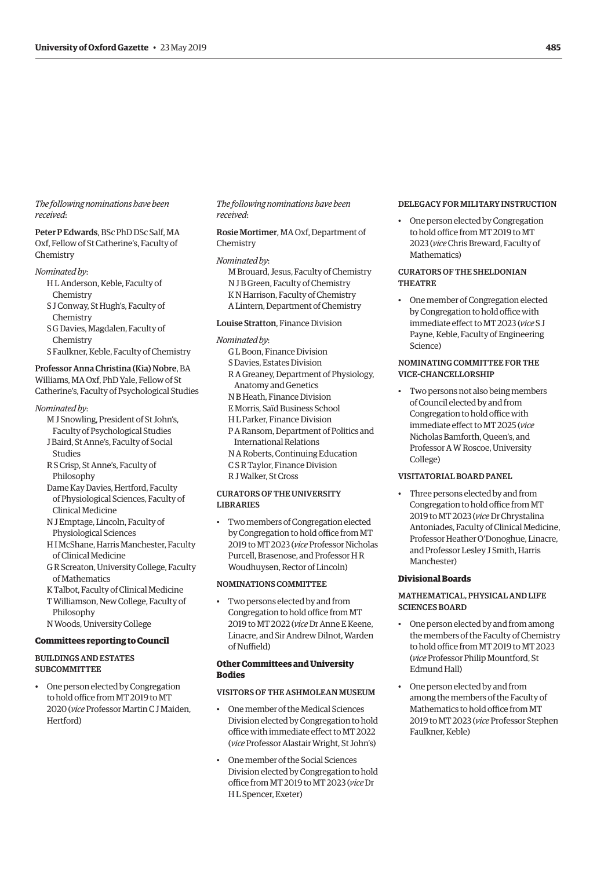<span id="page-18-0"></span>*The following nominations have been received*:

Peter P Edwards, BSc PhD DSc Salf, MA Oxf, Fellow of St Catherine's, Faculty of **Chemistry** 

#### *Nominated by*:

- H L Anderson, Keble, Faculty of Chemistry
- S J Conway, St Hugh's, Faculty of Chemistry
- S G Davies, Magdalen, Faculty of Chemistry
- S Faulkner, Keble, Faculty of Chemistry

# Professor Anna Christina (Kia) Nobre, BA

Williams, MA Oxf, PhD Yale, Fellow of St Catherine's, Faculty of Psychological Studies

#### *Nominated by*:

- M J Snowling, President of St John's, Faculty of Psychological Studies J Baird, St Anne's, Faculty of Social
- Studies R S Crisp, St Anne's, Faculty of
- Philosophy
- Dame Kay Davies, Hertford, Faculty of Physiological Sciences, Faculty of Clinical Medicine
- N J Emptage, Lincoln, Faculty of Physiological Sciences
- H I McShane, Harris Manchester, Faculty of Clinical Medicine
- G R Screaton, University College, Faculty of Mathematics
- K Talbot, Faculty of Clinical Medicine
- T Williamson, New College, Faculty of Philosophy
- N Woods, University College

# **Committees reporting to Council**

# BUILDINGS AND ESTATES SUBCOMMITTEE

• One person elected by Congregation to hold office from MT 2019 to MT 2020 (*vice* Professor Martin C J Maiden, Hertford)

#### *The following nominations have been received*:

# Rosie Mortimer, MA Oxf, Department of Chemistry

#### *Nominated by*:

- M Brouard, Jesus, Faculty of Chemistry N J B Green, Faculty of Chemistry K N Harrison, Faculty of Chemistry
- A Lintern, Department of Chemistry

# Louise Stratton, Finance Division

#### *Nominated by*:

- G L Boon, Finance Division S Davies, Estates Division
- R A Greaney, Department of Physiology, Anatomy and Genetics
- N B Heath, Finance Division
- E Morris, Saïd Business School
- H L Parker, Finance Division
- P A Ransom, Department of Politics and
- International Relations
- N A Roberts, Continuing Education
- C S R Taylor, Finance Division
- R J Walker, St Cross

# CURATORS OF THE UNIVERSITY LIBRARIES

• Two members of Congregation elected by Congregation to hold office from MT 2019 to MT 2023 (*vice* Professor Nicholas Purcell, Brasenose, and Professor H R Woudhuysen, Rector of Lincoln)

#### NOMINATIONS COMMITTEE

• Two persons elected by and from Congregation to hold office from MT 2019 to MT 2022 (*vice* Dr Anne E Keene, Linacre, and Sir Andrew Dilnot, Warden of Nuffield)

# **Other Committees and University Bodies**

#### VISITORS OF THE ASHMOLEAN MUSEUM

- One member of the Medical Sciences Division elected by Congregation to hold office with immediate effect to MT 2022 (*vice* Professor Alastair Wright, St John's)
- One member of the Social Sciences Division elected by Congregation to hold office from MT 2019 to MT 2023 (*vice* Dr H L Spencer, Exeter)

# DELEGACY FOR MILITARY INSTRUCTION

• One person elected by Congregation to hold office from MT 2019 to MT 2023 (*vice* Chris Breward, Faculty of Mathematics)

# CURATORS OF THE SHELDONIAN THEATRE

• One member of Congregation elected by Congregation to hold office with immediate effect to MT 2023 (*vice* S J Payne, Keble, Faculty of Engineering Science)

# NOMINATING COMMITTEE FOR THE VICE-CHANCELLORSHIP

• Two persons not also being members of Council elected by and from Congregation to hold office with immediate effect to MT 2025 (*vice* Nicholas Bamforth, Queen's, and Professor A W Roscoe, University College)

# VISITATORIAL BOARD PANEL

• Three persons elected by and from Congregation to hold office from MT 2019 to MT 2023 (*vice* Dr Chrystalina Antoniades, Faculty of Clinical Medicine, Professor Heather O'Donoghue, Linacre, and Professor Lesley J Smith, Harris Manchester)

#### **Divisional Boards**

# MATHEMATICAL, PHYSICAL AND LIFE SCIENCES BOARD

- One person elected by and from among the members of the Faculty of Chemistry to hold office from MT 2019 to MT 2023 (*vice* Professor Philip Mountford, St Edmund Hall)
- One person elected by and from among the members of the Faculty of Mathematics to hold office from MT 2019 to MT 2023 (*vice* Professor Stephen Faulkner, Keble)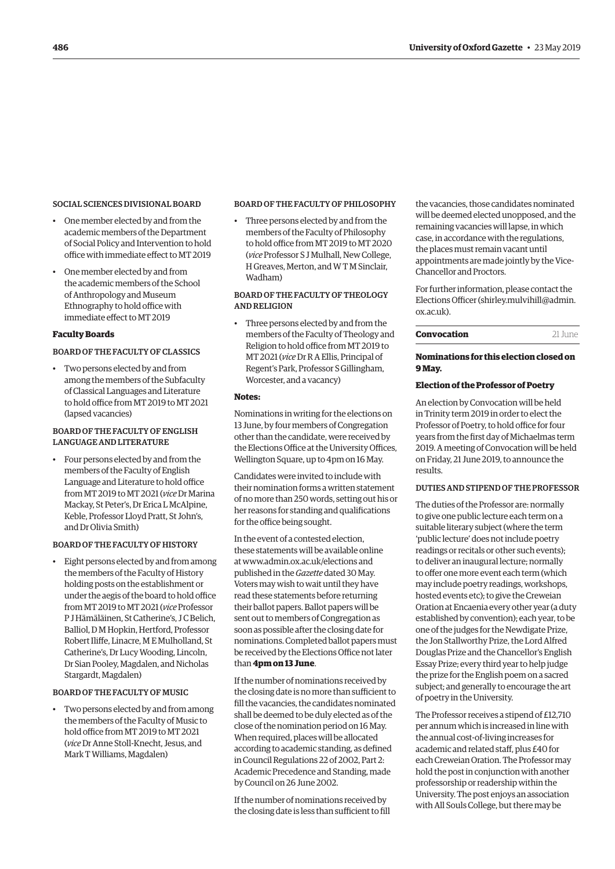#### SOCIAL SCIENCES DIVISIONAL BOARD

- One member elected by and from the academic members of the Department of Social Policy and Intervention to hold office with immediate effect to MT 2019
- One member elected by and from the academic members of the School of Anthropology and Museum Ethnography to hold office with immediate effect to MT 2019

# **Faculty Boards**

# BOARD OF THE FACULTY OF CLASSICS

• Two persons elected by and from among the members of the Subfaculty of Classical Languages and Literature to hold office from MT 2019 to MT 2021 (lapsed vacancies)

# BOARD OF THE FACULTY OF ENGLISH LANGUAGE AND LITERATURE

• Four persons elected by and from the members of the Faculty of English Language and Literature to hold office from MT 2019 to MT 2021 (*vice* Dr Marina Mackay, St Peter's, Dr Erica L McAlpine, Keble, Professor Lloyd Pratt, St John's, and Dr Olivia Smith)

# BOARD OF THE FACULTY OF HISTORY

• Eight persons elected by and from among the members of the Faculty of History holding posts on the establishment or under the aegis of the board to hold office from MT 2019 to MT 2021 (*vice* Professor P J Hämäläinen, St Catherine's, J C Belich, Balliol, D M Hopkin, Hertford, Professor Robert Iliffe, Linacre, M E Mulholland, St Catherine's, Dr Lucy Wooding, Lincoln, Dr Sian Pooley, Magdalen, and Nicholas Stargardt, Magdalen)

#### BOARD OF THE FACULTY OF MUSIC

• Two persons elected by and from among the members of the Faculty of Music to hold office from MT 2019 to MT 2021 (*vice* Dr Anne Stoll-Knecht, Jesus, and Mark T Williams, Magdalen)

#### BOARD OF THE FACULTY OF PHILOSOPHY

• Three persons elected by and from the members of the Faculty of Philosophy to hold office from MT 2019 to MT 2020 (*vice* Professor S J Mulhall, New College, H Greaves, Merton, and W T M Sinclair, Wadham)

# BOARD OF THE FACULTY OF THEOLOGY AND RELIGION

• Three persons elected by and from the members of the Faculty of Theology and Religion to hold office from MT 2019 to MT 2021 (*vice* Dr R A Ellis, Principal of Regent's Park, Professor S Gillingham, Worcester, and a vacancy)

# **Notes:**

Nominations in writing for the elections on 13 June, by four members of Congregation other than the candidate, were received by the Elections Office at the University Offices, Wellington Square, up to 4pm on 16 May.

Candidates were invited to include with their nomination forms a written statement of no more than 250 words, setting out his or her reasons for standing and qualifications for the office being sought.

In the event of a contested election, these statements will be available online at [www.admin.ox.ac.uk/elections an](http://www.admin.ox.ac.uk/elections)d published in the *Gazette* dated 30 May. Voters may wish to wait until they have read these statements before returning their ballot papers. Ballot papers will be sent out to members of Congregation as soon as possible after the closing date for nominations. Completed ballot papers must be received by the Elections Office not later than **4pm on 13 June**.

If the number of nominations received by the closing date is no more than sufficient to fill the vacancies, the candidates nominated shall be deemed to be duly elected as of the close of the nomination period on 16 May. When required, places will be allocated according to academic standing, as defined in Council Regulations 22 of 2002, Part 2: Academic Precedence and Standing, made by Council on 26 June 2002.

If the number of nominations received by the closing date is less than sufficient to fill the vacancies, those candidates nominated will be deemed elected unopposed, and the remaining vacancies will lapse, in which case, in accordance with the regulations, the places must remain vacant until appointments are made jointly by the Vice-Chancellor and Proctors.

For further information, please contact the [Elections Officer \(shirley.mulvihill@admin.](mailto:shirley.mulvihill@admin.ox.ac.uk) ox.ac.uk).

| Convocation | 21 June |
|-------------|---------|
|             |         |

# **Nominations for this election closed on 9 May.**

#### **Election of the Professor of Poetry**

An election by Convocation will be held in Trinity term 2019 in order to elect the Professor of Poetry, to hold office for four years from the first day of Michaelmas term 2019. A meeting of Convocation will be held on Friday, 21 June 2019, to announce the results.

# DUTIES AND STIPEND OF THE PROFESSOR

The duties of the Professor are: normally to give one public lecture each term on a suitable literary subject (where the term 'public lecture' does not include poetry readings or recitals or other such events); to deliver an inaugural lecture; normally to offer one more event each term (which may include poetry readings, workshops, hosted events etc); to give the Creweian Oration at Encaenia every other year (a duty established by convention); each year, to be one of the judges for the Newdigate Prize, the Jon Stallworthy Prize, the Lord Alfred Douglas Prize and the Chancellor's English Essay Prize; every third year to help judge the prize for the English poem on a sacred subject; and generally to encourage the art of poetry in the University.

The Professor receives a stipend of £12,710 per annum which is increased in line with the annual cost-of-living increases for academic and related staff, plus £40 for each Creweian Oration. The Professor may hold the post in conjunction with another professorship or readership within the University. The post enjoys an association with All Souls College, but there may be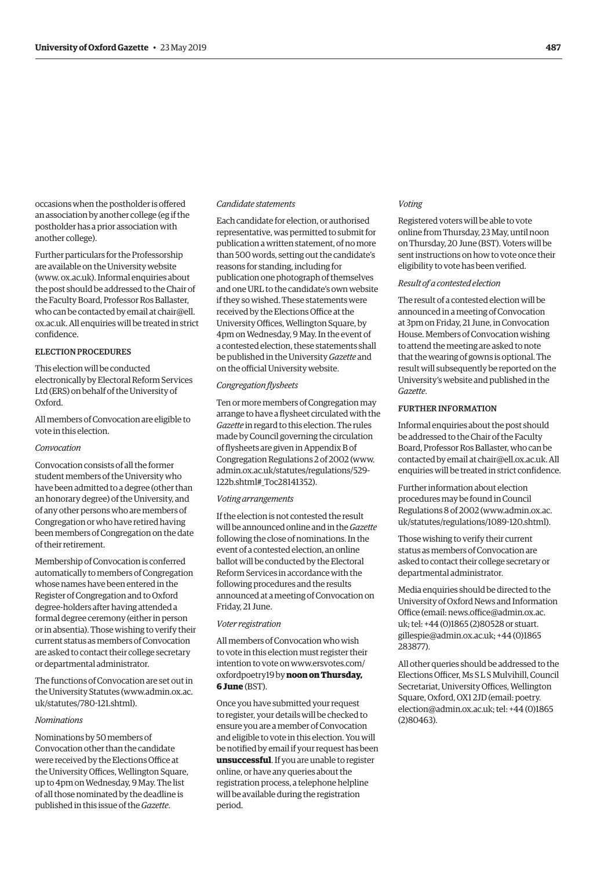occasions when the postholder is offered an association by another college (eg if the postholder has a prior association with another college).

Further particulars for the Professorship are available on the University website [\(www. ox.ac.uk\).](www.ox.ac.uk) Informal enquiries about the post should be addressed to the Chair of the Faculty Board, Professor Ros Ballaster, who can be contacted by email at chair@ell. [ox.ac.uk. All enquiries will be treated in strict](mailto:chair@ell.ox.ac.uk)  confidence.

# ELECTION PROCEDURES

This election will be conducted electronically by Electoral Reform Services Ltd (ERS) on behalf of the University of Oxford.

All members of Convocation are eligible to vote in this election.

#### *Convocation*

Convocation consists of all the former student members of the University who have been admitted to a degree (other than an honorary degree) of the University, and of any other persons who are members of Congregation or who have retired having been members of Congregation on the date of their retirement.

Membership of Convocation is conferred automatically to members of Congregation whose names have been entered in the Register of Congregation and to Oxford degree-holders after having attended a formal degree ceremony (either in person or in absentia). Those wishing to verify their current status as members of Convocation are asked to contact their college secretary or departmental administrator.

The functions of Convocation are set out in [the University Statutes \(www.admin.ox.ac.](www.admin.ox.ac.uk/statutes/780-121.shtml)  uk/statutes/780-121.shtml).

#### *Nominations*

Nominations by 50 members of Convocation other than the candidate were received by the Elections Office at the University Offices, Wellington Square, up to 4pm on Wednesday, 9 May. The list of all those nominated by the deadline is published in this issue of the *Gazette*.

# *Candidate statements*

Each candidate for election, or authorised representative, was permitted to submit for publication a written statement, of no more than 500 words, setting out the candidate's reasons for standing, including for publication one photograph of themselves and one URL to the candidate's own website if they so wished. These statements were received by the Elections Office at the University Offices, Wellington Square, by 4pm on Wednesday, 9 May. In the event of a contested election, these statements shall be published in the University *Gazette* and on the official University website.

#### *Congregation flysheets*

Ten or more members of Congregation may arrange to have a flysheet circulated with the *Gazette* in regard to this election. The rules made by Council governing the circulation of flysheets are given in Appendix B of Congregation Regulations 2 of 2002 ([www.](http://www.admin.ox.ac.uk/statutes/regulations/529-122b.shtml#_Toc28141352) [admin.ox.ac.uk/statutes/regulations/529-](http://www.admin.ox.ac.uk/statutes/regulations/529-122b.shtml#_Toc28141352) [122b.shtml#\\_Toc28141352\).](http://www.admin.ox.ac.uk/statutes/regulations/529-122b.shtml#_Toc28141352)

#### *Voting arrangements*

If the election is not contested the result will be announced online and in the *Gazette* following the close of nominations. In the event of a contested election, an online ballot will be conducted by the Electoral Reform Services in accordance with the following procedures and the results announced at a meeting of Convocation on Friday, 21 June.

#### *Voter registration*

All members of Convocation who wish to vote in this election must register their [intention to vote on www.ersvotes.com/](www.ersvotes.com/oxfordpoetry19) oxfordpoetry19 by **noon on Thursday, 6 June** (BST).

Once you have submitted your request to register, your details will be checked to ensure you are a member of Convocation and eligible to vote in this election. You will be notified by email if your request has been **unsuccessful**. If you are unable to register online, or have any queries about the registration process, a telephone helpline will be available during the registration period.

#### *Voting*

Registered voters will be able to vote online from Thursday, 23 May, until noon on Thursday, 20 June (BST). Voters will be sent instructions on how to vote once their eligibility to vote has been verified.

#### *Result of a contested election*

The result of a contested election will be announced in a meeting of Convocation at 3pm on Friday, 21 June, in Convocation House. Members of Convocation wishing to attend the meeting are asked to note that the wearing of gowns is optional. The result will subsequently be reported on the University's website and published in the *Gazette*.

#### FURTHER INFORMATION

Informal enquiries about the post should be addressed to the Chair of the Faculty Board, Professor Ros Ballaster, who can be contacted by email at [chair@ell.ox.ac.uk](mailto:chair@ell.ox.ac.uk). All enquiries will be treated in strict confidence.

Further information about election procedures may be found in Council [Regulations 8 of 2002 \(www.admin.ox.ac.](www.admin.ox.ac.uk/statutes/regulations/1089-120.shtml)  uk/statutes/regulations/1089-120.shtml).

Those wishing to verify their current status as members of Convocation are asked to contact their college secretary or departmental administrator.

Media enquiries should be directed to the University of Oxford News and Information [Office \(email: news.office@admin.ox.ac.](mailto:new.office@admin.ox.ac.uk)  uk; tel: +44 (0)1865 (2)80528 or stuart. [gillespie@admin.ox.ac.uk; +44 \(0\)1865](mailto:stuart.gillespie@admin.ox.ac.uk)  283877).

All other queries should be addressed to the Elections Officer, Ms S L S Mulvihill, Council Secretariat, University Offices, Wellington Square, Oxford, OX1 2JD (email: poetry. [election@admin.ox.ac.uk; tel: +44 \(0\)1865](mailto:poetry.election@admin.ox.ac.uk)  (2)80463).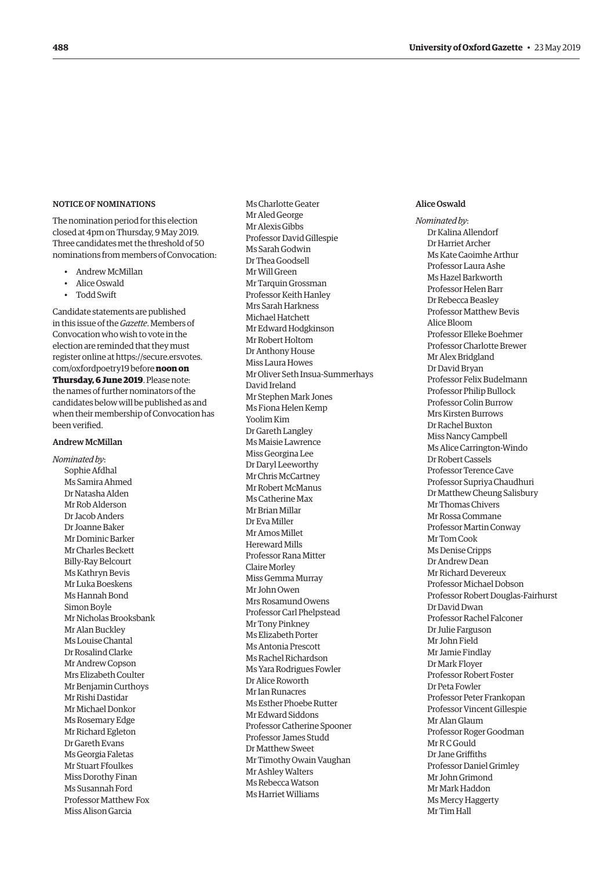#### NOTICE OF NOMINATIONS

The nomination period for this election closed at 4pm on Thursday, 9 May 2019. Three candidates met the threshold of 50 nominations from members of Convocation:

- Andrew McMillan
- Alice Oswald
- Todd Swift

Candidate statements are published in this issue of the *Gazette*. Members of Convocation who wish to vote in the election are reminded that they must register online at [https://secure.ersvotes.](https://secure.ersvotes.com/oxfordpoetry19) [com/oxfordpoetry19](https://secure.ersvotes.com/oxfordpoetry19) before **noon on Thursday, 6 June 2019**. Please note: the names of further nominators of the candidates below will be published as and when their membership of Convocation has been verified.

#### Andrew McMillan

*Nominated by*: Sophie Afdhal Ms Samira Ahmed Dr Natasha Alden Mr Rob Alderson Dr Jacob Anders Dr Joanne Baker Mr Dominic Barker Mr Charles Beckett Billy-Ray Belcourt Ms Kathryn Bevis Mr Luka Boeskens Ms Hannah Bond Simon Boyle Mr Nicholas Brooksbank Mr Alan Buckley Ms Louise Chantal Dr Rosalind Clarke Mr Andrew Copson Mrs Elizabeth Coulter Mr Benjamin Curthoys Mr Rishi Dastidar Mr Michael Donkor Ms Rosemary Edge Mr Richard Egleton Dr Gareth Evans Ms Georgia Faletas Mr Stuart Ffoulkes Miss Dorothy Finan Ms Susannah Ford Professor Matthew Fox Miss Alison Garcia

Ms Charlotte Geater Mr Aled George Mr Alexis Gibbs Professor David Gillespie Ms Sarah Godwin Dr Thea Goodsell Mr Will Green Mr Tarquin Grossman Professor Keith Hanley Mrs Sarah Harkness Michael Hatchett Mr Edward Hodgkinson Mr Robert Holtom Dr Anthony House Miss Laura Howes Mr Oliver Seth Insua-Summerhays David Ireland Mr Stephen Mark Jones Ms Fiona Helen Kemp Yoolim Kim Dr Gareth Langley Ms Maisie Lawrence Miss Georgina Lee Dr Daryl Leeworthy Mr Chris McCartney Mr Robert McManus Ms Catherine Max Mr Brian Millar Dr Eva Miller Mr Amos Millet Hereward Mills Professor Rana Mitter Claire Morley Miss Gemma Murray Mr John Owen Mrs Rosamund Owens Professor Carl Phelpstead Mr Tony Pinkney Ms Elizabeth Porter Ms Antonia Prescott Ms Rachel Richardson Ms Yara Rodrigues Fowler Dr Alice Roworth Mr Ian Runacres Ms Esther Phoebe Rutter Mr Edward Siddons Professor Catherine Spooner Professor James Studd Dr Matthew Sweet Mr Timothy Owain Vaughan Mr Ashley Walters Ms Rebecca Watson Ms Harriet Williams

## Alice Oswald

*Nominated by*: Dr Kalina Allendorf Dr Harriet Archer Ms Kate Caoimhe Arthur Professor Laura Ashe Ms Hazel Barkworth Professor Helen Barr Dr Rebecca Beasley Professor Matthew Bevis Alice Bloom Professor Elleke Boehmer Professor Charlotte Brewer Mr Alex Bridgland Dr David Bryan Professor Felix Budelmann Professor Philip Bullock Professor Colin Burrow Mrs Kirsten Burrows Dr Rachel Buxton Miss Nancy Campbell Ms Alice Carrington-Windo Dr Robert Cassels Professor Terence Cave Professor Supriya Chaudhuri Dr Matthew Cheung Salisbury Mr Thomas Chivers Mr Rossa Commane Professor Martin Conway Mr Tom Cook Ms Denise Cripps Dr Andrew Dean Mr Richard Devereux Professor Michael Dobson Professor Robert Douglas-Fairhurst Dr David Dwan Professor Rachel Falconer Dr Julie Farguson Mr John Field Mr Jamie Findlay Dr Mark Floyer Professor Robert Foster Dr Peta Fowler Professor Peter Frankopan Professor Vincent Gillespie Mr Alan Glaum Professor Roger Goodman Mr R C Gould Dr Jane Griffiths Professor Daniel Grimley Mr John Grimond Mr Mark Haddon Ms Mercy Haggerty Mr Tim Hall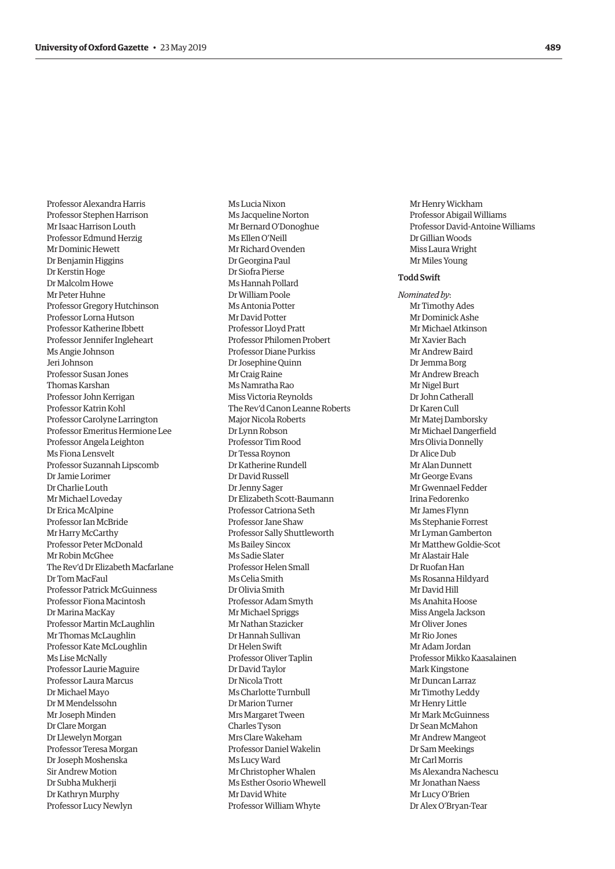<span id="page-22-0"></span>Professor Alexandra Harris Professor Stephen Harrison Mr Isaac Harrison Louth Professor Edmund Herzig Mr Dominic Hewett Dr Benjamin Higgins Dr Kerstin Hoge Dr Malcolm Howe Mr Peter Huhne Professor Gregory Hutchinson Professor Lorna Hutson Professor Katherine Ibbett Professor Jennifer Ingleheart Ms Angie Johnson Jeri Johnson Professor Susan Jones Thomas Karshan Professor John Kerrigan Professor Katrin Kohl Professor Carolyne Larrington Professor Emeritus Hermione Lee Professor Angela Leighton Ms Fiona Lensvelt Professor Suzannah Lipscomb Dr Jamie Lorimer Dr Charlie Louth Mr Michael Loveday Dr Erica McAlpine Professor Ian McBride Mr Harry McCarthy Professor Peter McDonald Mr Robin McGhee The Rev'd Dr Elizabeth Macfarlane Dr Tom MacFaul Professor Patrick McGuinness Professor Fiona Macintosh Dr Marina MacKay Professor Martin McLaughlin Mr Thomas McLaughlin Professor Kate McLoughlin Ms Lise McNally Professor Laurie Maguire Professor Laura Marcus Dr Michael Mayo Dr M Mendelssohn Mr Joseph Minden Dr Clare Morgan Dr Llewelyn Morgan Professor Teresa Morgan Dr Joseph Moshenska Sir Andrew Motion Dr Subha Mukherji Dr Kathryn Murphy Professor Lucy Newlyn

Ms Lucia Nixon Ms Jacqueline Norton Mr Bernard O'Donoghue Ms Ellen O'Neill Mr Richard Ovenden Dr Georgina Paul Dr Siofra Pierse Ms Hannah Pollard Dr William Poole Ms Antonia Potter Mr David Potter Professor Lloyd Pratt Professor Philomen Probert Professor Diane Purkiss Dr Josephine Quinn Mr Craig Raine Ms Namratha Rao Miss Victoria Reynolds The Rev'd Canon Leanne Roberts Major Nicola Roberts Dr Lynn Robson Professor Tim Rood Dr Tessa Roynon Dr Katherine Rundell Dr David Russell Dr Jenny Sager Dr Elizabeth Scott-Baumann Professor Catriona Seth Professor Jane Shaw Professor Sally Shuttleworth Ms Bailey Sincox Ms Sadie Slater Professor Helen Small Ms Celia Smith Dr Olivia Smith Professor Adam Smyth Mr Michael Spriggs Mr Nathan Stazicker Dr Hannah Sullivan Dr Helen Swift Professor Oliver Taplin Dr David Taylor Dr Nicola Trott Ms Charlotte Turnbull Dr Marion Turner Mrs Margaret Tween Charles Tyson Mrs Clare Wakeham Professor Daniel Wakelin Ms Lucy Ward Mr Christopher Whalen Ms Esther Osorio Whewell Mr David White Professor William Whyte

Mr Henry Wickham Professor Abigail Williams Professor David-Antoine Williams Dr Gillian Woods Miss Laura Wright Mr Miles Young

#### Todd Swift

*Nominated by*: Mr Timothy Ades Mr Dominick Ashe Mr Michael Atkinson Mr Xavier Bach Mr Andrew Baird Dr Jemma Borg Mr Andrew Breach Mr Nigel Burt Dr John Catherall Dr Karen Cull Mr Matej Damborsky Mr Michael Dangerfield Mrs Olivia Donnelly Dr Alice Dub Mr Alan Dunnett Mr George Evans Mr Gwennael Fedder Irina Fedorenko Mr James Flynn Ms Stephanie Forrest Mr Lyman Gamberton Mr Matthew Goldie-Scot Mr Alastair Hale Dr Ruofan Han Ms Rosanna Hildyard Mr David Hill Ms Anahita Hoose Miss Angela Jackson Mr Oliver Jones Mr Rio Jones Mr Adam Jordan Professor Mikko Kaasalainen Mark Kingstone Mr Duncan Larraz Mr Timothy Leddy Mr Henry Little Mr Mark McGuinness Dr Sean McMahon Mr Andrew Mangeot Dr Sam Meekings Mr Carl Morris Ms Alexandra Nachescu Mr Jonathan Naess Mr Lucy O'Brien Dr Alex O'Bryan-Tear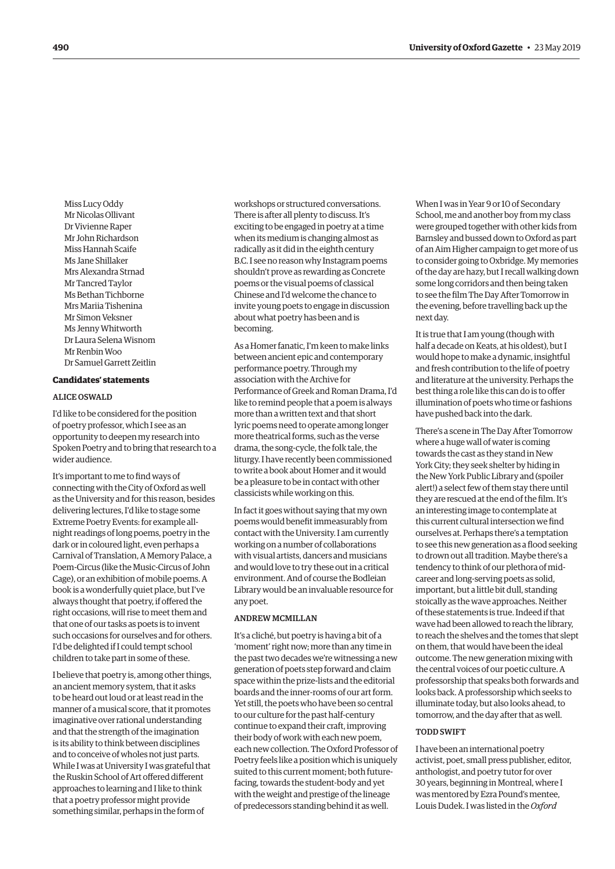Miss Lucy Oddy Mr Nicolas Ollivant Dr Vivienne Raper Mr John Richardson Miss Hannah Scaife Ms Jane Shillaker Mrs Alexandra Strnad Mr Tancred Taylor Ms Bethan Tichborne Mrs Mariia Tishenina Mr Simon Veksner Ms Jenny Whitworth Dr Laura Selena Wisnom Mr Renbin Woo Dr Samuel Garrett Zeitlin

# **Candidates' statements**

# ALICE OSWALD

I'd like to be considered for the position of poetry professor, which I see as an opportunity to deepen my research into Spoken Poetry and to bring that research to a wider audience.

It's important to me to find ways of connecting with the City of Oxford as well as the University and for this reason, besides delivering lectures, I'd like to stage some Extreme Poetry Events: for example allnight readings of long poems, poetry in the dark or in coloured light, even perhaps a Carnival of Translation, A Memory Palace, a Poem-Circus (like the Music-Circus of John Cage), or an exhibition of mobile poems. A book is a wonderfully quiet place, but I've always thought that poetry, if offered the right occasions, will rise to meet them and that one of our tasks as poets is to invent such occasions for ourselves and for others. I'd be delighted if I could tempt school children to take part in some of these.

I believe that poetry is, among other things, an ancient memory system, that it asks to be heard out loud or at least read in the manner of a musical score, that it promotes imaginative over rational understanding and that the strength of the imagination is its ability to think between disciplines and to conceive of wholes not just parts. While I was at University I was grateful that the Ruskin School of Art offered different approaches to learning and I like to think that a poetry professor might provide something similar, perhaps in the form of

workshops or structured conversations. There is after all plenty to discuss. It's exciting to be engaged in poetry at a time when its medium is changing almost as radically as it did in the eighth century B.C. I see no reason why Instagram poems shouldn't prove as rewarding as Concrete poems or the visual poems of classical Chinese and I'd welcome the chance to invite young poets to engage in discussion about what poetry has been and is becoming.

As a Homer fanatic, I'm keen to make links between ancient epic and contemporary performance poetry. Through my association with the Archive for Performance of Greek and Roman Drama, I'd like to remind people that a poem is always more than a written text and that short lyric poems need to operate among longer more theatrical forms, such as the verse drama, the song-cycle, the folk tale, the liturgy. I have recently been commissioned to write a book about Homer and it would be a pleasure to be in contact with other classicists while working on this.

In fact it goes without saying that my own poems would benefit immeasurably from contact with the University. I am currently working on a number of collaborations with visual artists, dancers and musicians and would love to try these out in a critical environment. And of course the Bodleian Library would be an invaluable resource for any poet.

## ANDREW MCMILLAN

It's a cliché, but poetry is having a bit of a 'moment' right now; more than any time in the past two decades we're witnessing a new generation of poets step forward and claim space within the prize-lists and the editorial boards and the inner-rooms of our art form. Yet still, the poets who have been so central to our culture for the past half-century continue to expand their craft, improving their body of work with each new poem, each new collection. The Oxford Professor of Poetry feels like a position which is uniquely suited to this current moment; both futurefacing, towards the student-body and yet with the weight and prestige of the lineage of predecessors standing behind it as well.

When I was in Year 9 or 10 of Secondary School, me and another boy from my class were grouped together with other kids from Barnsley and bussed down to Oxford as part of an Aim Higher campaign to get more of us to consider going to Oxbridge. My memories of the day are hazy, but I recall walking down some long corridors and then being taken to see the film The Day After Tomorrow in the evening, before travelling back up the next day.

It is true that I am young (though with half a decade on Keats, at his oldest), but I would hope to make a dynamic, insightful and fresh contribution to the life of poetry and literature at the university. Perhaps the best thing a role like this can do is to offer illumination of poets who time or fashions have pushed back into the dark.

There's a scene in The Day After Tomorrow where a huge wall of water is coming towards the cast as they stand in New York City; they seek shelter by hiding in the New York Public Library and (spoiler alert!) a select few of them stay there until they are rescued at the end of the film. It's an interesting image to contemplate at this current cultural intersection we find ourselves at. Perhaps there's a temptation to see this new generation as a flood seeking to drown out all tradition. Maybe there's a tendency to think of our plethora of midcareer and long-serving poets as solid, important, but a little bit dull, standing stoically as the wave approaches. Neither of these statements is true. Indeed if that wave had been allowed to reach the library, to reach the shelves and the tomes that slept on them, that would have been the ideal outcome. The new generation mixing with the central voices of our poetic culture. A professorship that speaks both forwards and looks back. A professorship which seeks to illuminate today, but also looks ahead, to tomorrow, and the day after that as well.

#### TODD SWIFT

I have been an international poetry activist, poet, small press publisher, editor, anthologist, and poetry tutor for over 30 years, beginning in Montreal, where I was mentored by Ezra Pound's mentee, Louis Dudek. I was listed in the *Oxford*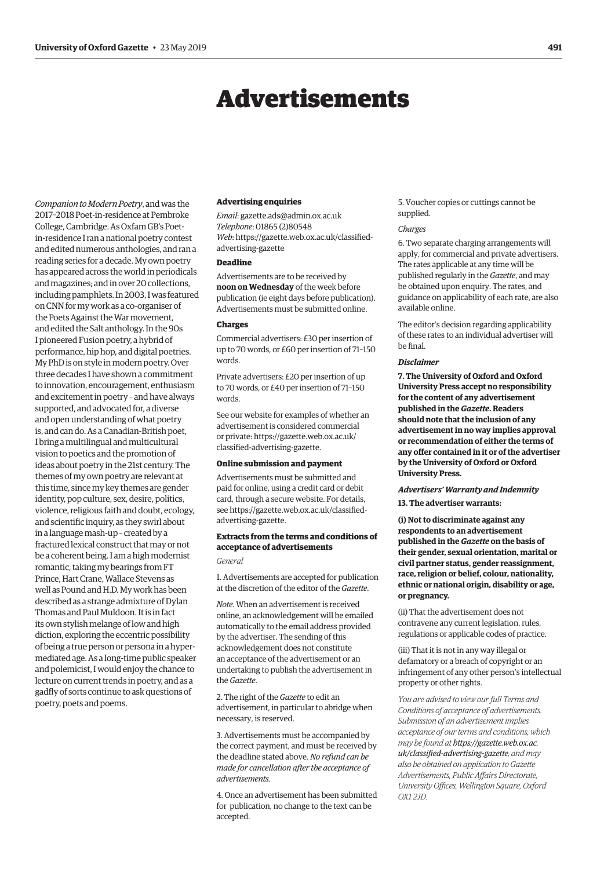# Advertisements

<span id="page-24-0"></span>*Companion to Modern Poetry*, and was the 2017–2018 Poet-in-residence at Pembroke College, Cambridge. As Oxfam GB's Poetin-residence I ran a national poetry contest and edited numerous anthologies, and ran a reading series for a decade. My own poetry has appeared across the world in periodicals and magazines; and in over 20 collections, including pamphlets. In 2003, I was featured on CNN for my work as a co-organiser of the Poets Against the War movement, and edited the Salt anthology. In the 90s I pioneered Fusion poetry, a hybrid of performance, hip hop, and digital poetries. My PhD is on style in modern poetry. Over three decades I have shown a commitment to innovation, encouragement, enthusiasm and excitement in poetry – and have always supported, and advocated for, a diverse and open understanding of what poetry is, and can do. As a Canadian-British poet, I bring a multilingual and multicultural vision to poetics and the promotion of ideas about poetry in the 21st century. The themes of my own poetry are relevant at this time, since my key themes are gender identity, pop culture, sex, desire, politics, violence, religious faith and doubt, ecology, and scientific inquiry, as they swirl about in a language mash-up – created by a fractured lexical construct that may or not be a coherent being. I am a high modernist romantic, taking my bearings from FT Prince, Hart Crane, Wallace Stevens as well as Pound and H.D. My work has been described as a strange admixture of Dylan Thomas and Paul Muldoon. It is in fact its own stylish melange of low and high diction, exploring the eccentric possibility of being a true person or persona in a hypermediated age. As a long-time public speaker and polemicist, I would enjoy the chance to lecture on current trends in poetry, and as a gadfly of sorts continue to ask questions of poetry, poets and poems.

#### **Advertising enquiries**

*Email*: [gazette.ads@admin.ox.ac.uk](mailto:gazette.ads@admin.ox.ac.uk) *Telephone*: 01865 (2)80548 *Web*[: https://gazette.web.ox.ac.uk/classified](https://gazette.web.ox.ac.uk/classified-advertising-gazette)advertising-gazette

#### **Deadline**

Advertisements are to be received by **noon on Wednesday** of the week before publication (ie eight days before publication). Advertisements must be submitted online.

#### **Charges**

Commercial advertisers: £30 per insertion of up to 70 words, or £60 per insertion of 71–150 words.

Private advertisers: £20 per insertion of up to 70 words, or £40 per insertion of 71–150 words.

See our website for examples of whether an advertisement is considered commercial [or private: https://gazette.web.ox.ac.uk/](https://gazette.web.ox.ac.uk/classified-advertising-gazette) classified-advertising-gazette.

#### **Online submission and payment**

Advertisements must be submitted and paid for online, using a credit card or debit card, through a secure website. For details, [see https://gazette.web.ox.ac.uk/classified](https://gazette.web.ox.ac.uk/classified-advertising-gazette)advertising-gazette.

# **Extracts from the terms and conditions of acceptance of advertisements** *General*

1. Advertisements are accepted for publication at the discretion of the editor of the *Gazette*.

*Note*. When an advertisement is received online, an acknowledgement will be emailed automatically to the email address provided by the advertiser. The sending of this acknowledgement does not constitute an acceptance of the advertisement or an undertaking to publish the advertisement in the *Gazette*.

2. The right of the *Gazette* to edit an advertisement, in particular to abridge when necessary, is reserved.

3. Advertisements must be accompanied by the correct payment, and must be received by the deadline stated above. *No refund can be made for cancellation after the acceptance of advertisements*.

4. Once an advertisement has been submitted for publication, no change to the text can be accepted.

5. Voucher copies or cuttings cannot be supplied.

#### *Charges*

6. Two separate charging arrangements will apply, for commercial and private advertisers. The rates applicable at any time will be published regularly in the *Gazette*, and may be obtained upon enquiry. The rates, and guidance on applicability of each rate, are also available online.

The editor's decision regarding applicability of these rates to an individual advertiser will be final.

#### *Disclaimer*

**7. The University of Oxford and Oxford University Press accept no responsibility for the content of any advertisement published in the** *Gazette***. Readers should note that the inclusion of any advertisement in no way implies approval or recommendation of either the terms of any offer contained in it or of the advertiser by the University of Oxford or Oxford University Press.**

# *Advertisers' Warranty and Indemnity*

**13. The advertiser warrants:**

**(i) Not to discriminate against any respondents to an advertisement published in the** *Gazette* **on the basis of their gender, sexual orientation, marital or civil partner status, gender reassignment, race, religion or belief, colour, nationality, ethnic or national origin, disability or age, or pregnancy.**

(ii) That the advertisement does not contravene any current legislation, rules, regulations or applicable codes of practice.

(iii) That it is not in any way illegal or defamatory or a breach of copyright or an infringement of any other person's intellectual property or other rights.

*You are advised to view our full Terms and Conditions of acceptance of advertisements. Submission of an advertisement implies acceptance of our terms and conditions, which may be found at https://gazette.web.ox.ac. [uk/classified-advertising-gazette](https://gazette.web.ox.ac.uk/classified-advertising-gazette), and may also be obtained on application to Gazette Advertisements, Public Affairs Directorate, University Offices, Wellington Square, Oxford OX1 2JD.*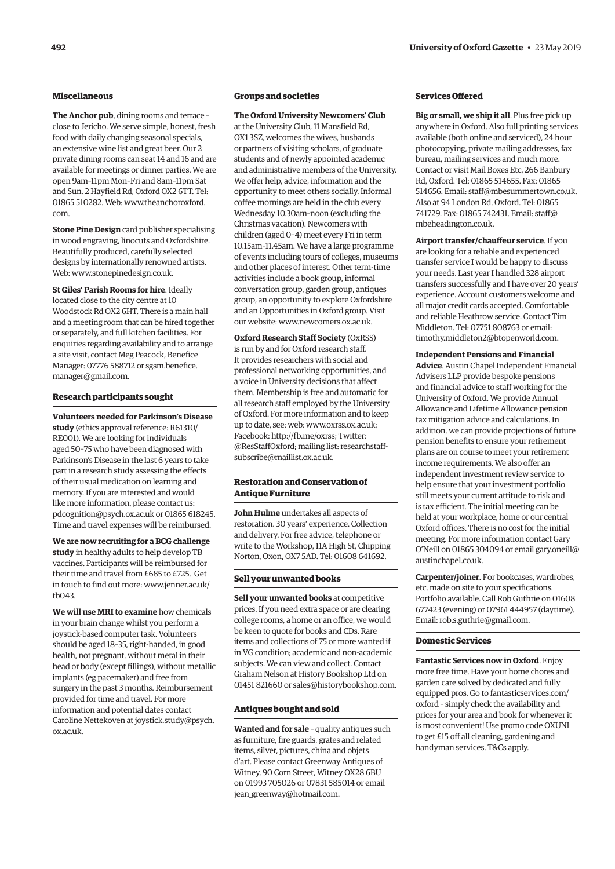# **Miscellaneous**

**The Anchor pub**, dining rooms and terrace – close to Jericho. We serve simple, honest, fresh food with daily changing seasonal specials, an extensive wine list and great beer. Our 2 private dining rooms can seat 14 and 16 and are available for meetings or dinner parties. We are open 9am–11pm Mon–Fri and 8am–11pm Sat and Sun. 2 Hayfield Rd, Oxford OX2 6TT. Tel: 01865 510282. Web: [www.theanchoroxford.](http://www.theanchoroxford.com) [com.](http://www.theanchoroxford.com)

**Stone Pine Design** card publisher specialising in wood engraving, linocuts and Oxfordshire. Beautifully produced, carefully selected designs by internationally renowned artists. Web: [www.stonepinedesign.co.uk](http://www.stonepinedesign.co.uk).

**St Giles' Parish Rooms for hire**. Ideally located close to the city centre at 10 Woodstock Rd OX2 6HT. There is a main hall and a meeting room that can be hired together or separately, and full kitchen facilities. For enquiries regarding availability and to arrange a site visit, contact Meg Peacock, Benefice Manager: 07776 588712 or [sgsm.benefice.](mailto:sgsm.benefice.manager@gmail.com) [manager@gmail.com.](mailto:sgsm.benefice.manager@gmail.com)

#### **Research participants sought**

**Volunteers needed for Parkinson's Disease study** (ethics approval reference: R61310/ RE001). We are looking for individuals aged 50–75 who have been diagnosed with Parkinson's Disease in the last 6 years to take part in a research study assessing the effects of their usual medication on learning and memory. If you are interested and would like more information, please contact us: [pdcognition@psych.ox.ac.uk](mailto:pdcognition@psych.ox.ac.uk) or 01865 618245. Time and travel expenses will be reimbursed.

**We are now recruiting for a BCG challenge study** in healthy adults to help develop TB vaccines. Participants will be reimbursed for their time and travel from £685 to £725. Get in touch to find out more: [www.jenner.ac.uk/](http://www.jenner.ac.uk/tb043) [tb043.](http://www.jenner.ac.uk/tb043)

**We will use MRI to examine** how chemicals in your brain change whilst you perform a joystick-based computer task. Volunteers should be aged 18–35, right-handed, in good health, not pregnant, without metal in their head or body (except fillings), without metallic implants (eg pacemaker) and free from surgery in the past 3 months. Reimbursement provided for time and travel. For more information and potential dates contact Caroline Nettekoven at [joystick.study@psych.](mailto:joystick.study@psych.ox.ac.uk) [ox.ac.uk.](mailto:joystick.study@psych.ox.ac.uk)

# **Groups and societies**

**The Oxford University Newcomers' Club** at the University Club, 11 Mansfield Rd, OX1 3SZ, welcomes the wives, husbands or partners of visiting scholars, of graduate students and of newly appointed academic and administrative members of the University. We offer help, advice, information and the opportunity to meet others socially. Informal coffee mornings are held in the club every Wednesday 10.30am–noon (excluding the Christmas vacation). Newcomers with children (aged 0–4) meet every Fri in term 10.15am–11.45am. We have a large programme of events including tours of colleges, museums and other places of interest. Other term-time activities include a book group, informal conversation group, garden group, antiques group, an opportunity to explore Oxfordshire and an Opportunities in Oxford group. Visit our website: [www.newcomers.ox.ac.uk](http://www.newcomers.ox.ac.uk).

**Oxford Research Staff Society** (OxRSS) is run by and for Oxford research staff. It provides researchers with social and professional networking opportunities, and a voice in University decisions that affect them. Membership is free and automatic for all research staff employed by the University of Oxford. For more information and to keep up to date, see: web: [www.oxrss.ox.ac.uk;](http://www.oxrss.ox.ac.uk) Facebook: [http://fb.me/oxrss;](http://fb.me/oxrss) Twitter: @ResStaffOxford; mailing list: [researchstaff](mailto:researchstaff-subscribe@maillist.ox.ac.uk)[subscribe@maillist.ox.ac.uk](mailto:researchstaff-subscribe@maillist.ox.ac.uk).

# **Restoration and Conservation of Antique Furniture**

**John Hulme** undertakes all aspects of restoration. 30 years' experience. Collection and delivery. For free advice, telephone or write to the Workshop, 11A High St, Chipping Norton, Oxon, OX7 5AD. Tel: 01608 641692.

#### **Sell your unwanted books**

**Sell your unwanted books** at competitive prices. If you need extra space or are clearing college rooms, a home or an office, we would be keen to quote for books and CDs. Rare items and collections of 75 or more wanted if in VG condition; academic and non-academic subjects. We can view and collect. Contact Graham Nelson at History Bookshop Ltd on 01451 821660 or [sales@historybookshop.com](mailto:sales@historybookshop.com).

#### **Antiques bought and sold**

**Wanted and for sale** – quality antiques such as furniture, fire guards, grates and related items, silver, pictures, china and objets d'art. Please contact Greenway Antiques of Witney, 90 Corn Street, Witney OX28 6BU on 01993 705026 or 07831 585014 or email [jean\\_greenway@hotmail.com](mailto:jean_greenway@hotmail.com).

#### **Services Offered**

**Big or small, we ship it all**. Plus free pick up anywhere in Oxford. Also full printing services available (both online and serviced), 24 hour photocopying, private mailing addresses, fax bureau, mailing services and much more. Contact or visit Mail Boxes Etc, 266 Banbury Rd, Oxford. Tel: 01865 514655. Fax: 01865 514656. Email: [staff@mbesummertown.co.uk](mailto:staff@mbesummertown.co.uk). Also at 94 London Rd, Oxford. Tel: 01865 741729. Fax: 01865 742431. Email: [staff@](mailto:staff@mbeheadington.co.uk) [mbeheadington.co.uk.](mailto:staff@mbeheadington.co.uk)

**Airport transfer/chauffeur service**. If you are looking for a reliable and experienced transfer service I would be happy to discuss your needs. Last year I handled 328 airport transfers successfully and I have over 20 years' experience. Account customers welcome and all major credit cards accepted. Comfortable and reliable Heathrow service. Contact Tim Middleton. Tel: 07751 808763 or email: [timothy.middleton2@btopenworld.com](mailto:timothy.middleton2@btopenworld.com).

#### **Independent Pensions and Financial**

**Advice**. Austin Chapel Independent Financial Advisers LLP provide bespoke pensions and financial advice to staff working for the University of Oxford. We provide Annual Allowance and Lifetime Allowance pension tax mitigation advice and calculations. In addition, we can provide projections of future pension benefits to ensure your retirement plans are on course to meet your retirement income requirements. We also offer an independent investment review service to help ensure that your investment portfolio still meets your current attitude to risk and is tax efficient. The initial meeting can be held at your workplace, home or our central Oxford offices. There is no cost for the initial meeting. For more information contact Gary O'Neill on 01865 304094 or email [gary.oneill@](mailto:gary.oneill@austinchapel.co.uk) [austinchapel.co.uk](mailto:gary.oneill@austinchapel.co.uk).

**Carpenter/joiner**. For bookcases, wardrobes, etc, made on site to your specifications. Portfolio available. Call Rob Guthrie on 01608 677423 (evening) or 07961 444957 (daytime). Email: [rob.s.guthrie@gmail.com](mailto:rob.s.guthrie@gmail.com).

#### **Domestic Services**

**Fantastic Services now in Oxford**. Enjoy more free time. Have your home chores and garden care solved by dedicated and fully equipped pros. Go to [fantasticservices.com/](http://fantasticservices.com/oxford) [oxford](http://fantasticservices.com/oxford) – simply check the availability and prices for your area and book for whenever it is most convenient! Use promo code OXUNI to get £15 off all cleaning, gardening and handyman services. T&Cs apply.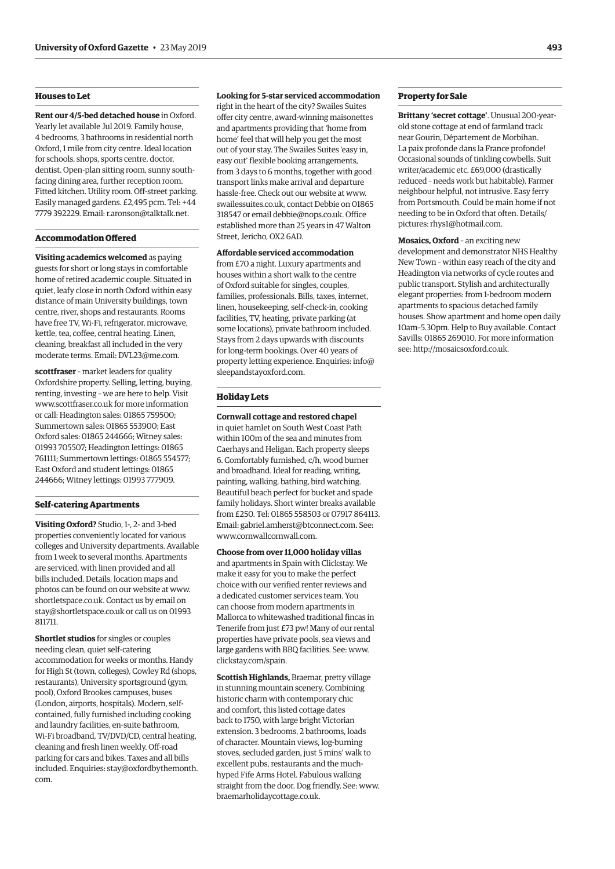# **Houses to Let**

**Rent our 4/5-bed detached house** in Oxford. Yearly let available Jul 2019. Family house, 4 bedrooms, 3 bathrooms in residential north Oxford, 1 mile from city centre. Ideal location for schools, shops, sports centre, doctor, dentist. Open-plan sitting room, sunny southfacing dining area, further reception room. Fitted kitchen. Utility room. Off-street parking. Easily managed gardens. £2,495 pcm. Tel: +44 7779 392229. Email: [r.aronson@talktalk.net](mailto:r.aronson@talktalk.net).

# **Accommodation Offered**

**Visiting academics welcomed** as paying guests for short or long stays in comfortable home of retired academic couple. Situated in quiet, leafy close in north Oxford within easy distance of main University buildings, town centre, river, shops and restaurants. Rooms have free TV, Wi-Fi, refrigerator, microwave, kettle, tea, coffee, central heating. Linen, cleaning, breakfast all included in the very moderate terms. Email: [DVL23@me.com](mailto:DVL23@me.com).

**scottfraser** – market leaders for quality Oxfordshire property. Selling, letting, buying, renting, investing – we are here to help. Visit [www.scottfraser.co.uk](http://www.scottfraser.co.uk) for more information or call: Headington sales: 01865 759500; Summertown sales: 01865 553900; East Oxford sales: 01865 244666; Witney sales: 01993 705507; Headington lettings: 01865 761111; Summertown lettings: 01865 554577; East Oxford and student lettings: 01865 244666; Witney lettings: 01993 777909.

# **Self-catering Apartments**

**Visiting Oxford?** Studio, 1-, 2- and 3-bed properties conveniently located for various colleges and University departments. Available from 1 week to several months. Apartments are serviced, with linen provided and all bills included. Details, location maps and photos can be found on our website at [www.](http://www.shortletspace.co.uk) [shortletspace.co.uk.](http://www.shortletspace.co.uk) Contact us by email on [stay@shortletspace.co.uk](mailto:stay@shortletspace.co.uk) or call us on 01993 811711.

**Shortlet studios** for singles or couples needing clean, quiet self-catering accommodation for weeks or months. Handy for High St (town, colleges), Cowley Rd (shops, restaurants), University sportsground (gym, pool), Oxford Brookes campuses, buses (London, airports, hospitals). Modern, selfcontained, fully furnished including cooking and laundry facilities, en-suite bathroom, Wi-Fi broadband, TV/DVD/CD, central heating, cleaning and fresh linen weekly. Off-road parking for cars and bikes. Taxes and all bills included. Enquiries: [stay@oxfordbythemonth.](mailto:stay@oxfordbythemonth.com) [com.](mailto:stay@oxfordbythemonth.com)

#### **Looking for 5-star serviced accommodation**

right in the heart of the city? Swailes Suites offer city centre, award-winning maisonettes and apartments providing that 'home from home' feel that will help you get the most out of your stay. The Swailes Suites 'easy in, easy out' flexible booking arrangements, from 3 days to 6 months, together with good transport links make arrival and departure hassle-free. Check out our website at [www.](http://www.swailessuites.co.uk) [swailessuites.co.uk](http://www.swailessuites.co.uk), contact Debbie on 01865 318547 or email [debbie@nops.co.uk](mailto:debbie@nops.co.uk). Office established more than 25 years in 47 Walton Street, Jericho, OX2 6AD.

**Affordable serviced accommodation** from £70 a night. Luxury apartments and houses within a short walk to the centre of Oxford suitable for singles, couples, families, professionals. Bills, taxes, internet, linen, housekeeping, self-check-in, cooking facilities, TV, heating, private parking (at some locations), private bathroom included. Stays from 2 days upwards with discounts for long-term bookings. Over 40 years of property letting experience. Enquiries: [info@](mailto:info@sleepandstayoxford.com) [sleepandstayoxford.com.](mailto:info@sleepandstayoxford.com)

# **Holiday Lets**

**Cornwall cottage and restored chapel** in quiet hamlet on South West Coast Path within 100m of the sea and minutes from Caerhays and Heligan. Each property sleeps 6. Comfortably furnished, c/h, wood burner and broadband. Ideal for reading, writing, painting, walking, bathing, bird watching. Beautiful beach perfect for bucket and spade family holidays. Short winter breaks available from £250. Tel: 01865 558503 or 07917 864113. Email: [gabriel.amherst@btconnect.com](mailto:gabriel.amherst@btconnect.com). See: [www.cornwallcornwall.com](http://www.cornwallcornwall.com).

**Choose from over 11,000 holiday villas**  and apartments in Spain with Clickstay. We make it easy for you to make the perfect choice with our verified renter reviews and a dedicated customer services team. You can choose from modern apartments in Mallorca to whitewashed traditional fincas in Tenerife from just £73 pw! Many of our rental properties have private pools, sea views and large gardens with BBQ facilities. See: [www.](http://www.clickstay.com/spain) [clickstay.com/spain.](http://www.clickstay.com/spain)

**Scottish Highlands,** Braemar, pretty village in stunning mountain scenery. Combining historic charm with contemporary chic and comfort, this listed cottage dates back to 1750, with large bright Victorian extension. 3 bedrooms, 2 bathrooms, loads of character. Mountain views, log-burning stoves, secluded garden, just 5 mins' walk to excellent pubs, restaurants and the muchhyped Fife Arms Hotel. Fabulous walking straight from the door. Dog friendly. See: [www.](http://www.braemarholidaycottage.co.uk) [braemarholidaycottage.co.uk](http://www.braemarholidaycottage.co.uk).

#### **Property for Sale**

**Brittany 'secret cottage'**. Unusual 200-yearold stone cottage at end of farmland track near Gourin, Département de Morbihan. La paix profonde dans la France profonde! Occasional sounds of tinkling cowbells. Suit writer/academic etc. £69,000 (drastically reduced – needs work but habitable). Farmer neighbour helpful, not intrusive. Easy ferry from Portsmouth. Could be main home if not needing to be in Oxford that often. Details/ pictures: [rhys1@hotmail.com.](mailto:rhys1@hotmail.com)

**Mosaics, Oxford** – an exciting new development and demonstrator NHS Healthy New Town – within easy reach of the city and Headington via networks of cycle routes and public transport. Stylish and architecturally elegant properties: from 1-bedroom modern apartments to spacious detached family houses. Show apartment and home open daily 10am–5.30pm. Help to Buy available. Contact Savills: 01865 269010. For more information see:<http://mosaicsoxford.co.uk>.